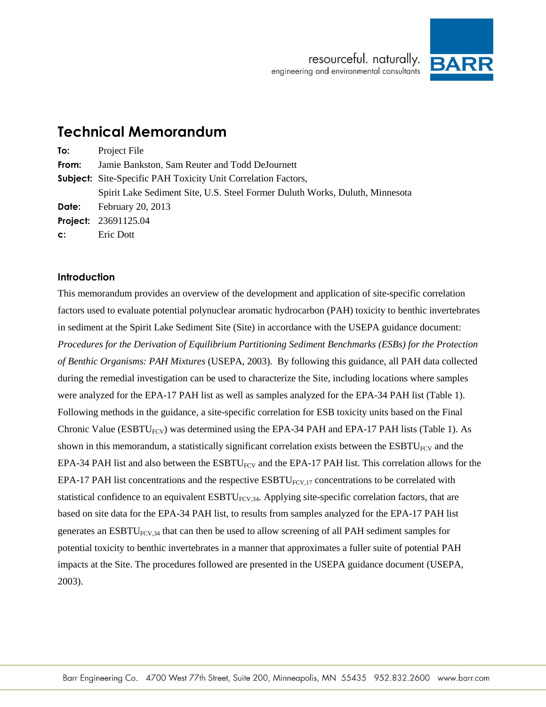

# **Technical Memorandum**

| To:            | Project File                                                                 |
|----------------|------------------------------------------------------------------------------|
| From:          | Jamie Bankston, Sam Reuter and Todd DeJournett                               |
|                | <b>Subject:</b> Site-Specific PAH Toxicity Unit Correlation Factors,         |
|                | Spirit Lake Sediment Site, U.S. Steel Former Duluth Works, Duluth, Minnesota |
|                | <b>Date:</b> February 20, 2013                                               |
|                | <b>Project: 23691125.04</b>                                                  |
| $\mathsf{c}$ : | Eric Dott                                                                    |

#### **Introduction**

This memorandum provides an overview of the development and application of site-specific correlation factors used to evaluate potential polynuclear aromatic hydrocarbon (PAH) toxicity to benthic invertebrates in sediment at the Spirit Lake Sediment Site (Site) in accordance with the USEPA guidance document: *Procedures for the Derivation of Equilibrium Partitioning Sediment Benchmarks (ESBs) for the Protection of Benthic Organisms: PAH Mixtures* (USEPA, 2003). By following this guidance, all PAH data collected during the remedial investigation can be used to characterize the Site, including locations where samples were analyzed for the EPA-17 PAH list as well as samples analyzed for the EPA-34 PAH list (Table 1). Following methods in the guidance, a site-specific correlation for ESB toxicity units based on the Final Chronic Value ( $ESBTU_{FCV}$ ) was determined using the EPA-34 PAH and EPA-17 PAH lists (Table 1). As shown in this memorandum, a statistically significant correlation exists between the  $ESBTU<sub>FCV</sub>$  and the EPA-34 PAH list and also between the  $\text{ESBTU}_{\text{FCV}}$  and the EPA-17 PAH list. This correlation allows for the EPA-17 PAH list concentrations and the respective  $ESBTU_{FCV,17}$  concentrations to be correlated with statistical confidence to an equivalent  $ESBTU<sub>FCV,34</sub>$ . Applying site-specific correlation factors, that are based on site data for the EPA-34 PAH list, to results from samples analyzed for the EPA-17 PAH list generates an  $ESBTU<sub>FCV,34</sub>$  that can then be used to allow screening of all PAH sediment samples for potential toxicity to benthic invertebrates in a manner that approximates a fuller suite of potential PAH impacts at the Site. The procedures followed are presented in the USEPA guidance document (USEPA, 2003).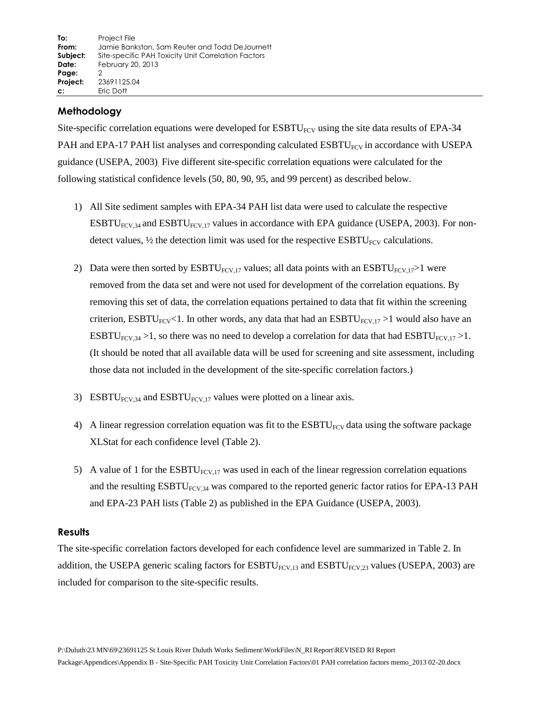## **Methodology**

Site-specific correlation equations were developed for  $ESBTU_{FCV}$  using the site data results of EPA-34 PAH and EPA-17 PAH list analyses and corresponding calculated ESBTU<sub>FCV</sub> in accordance with USEPA guidance (USEPA, 2003). Five different site-specific correlation equations were calculated for the following statistical confidence levels (50, 80, 90, 95, and 99 percent) as described below.

- 1) All Site sediment samples with EPA-34 PAH list data were used to calculate the respective ESBTU<sub>FCV,34</sub> and ESBTU<sub>FCV,17</sub> values in accordance with EPA guidance (USEPA, 2003). For nondetect values,  $\frac{1}{2}$  the detection limit was used for the respective ESBTU<sub>FCV</sub> calculations.
- 2) Data were then sorted by  $\text{ESBTU}_{\text{FCV},17}$  values; all data points with an  $\text{ESBTU}_{\text{FCV},17}$  were removed from the data set and were not used for development of the correlation equations. By removing this set of data, the correlation equations pertained to data that fit within the screening criterion, ESBTU<sub>FCV</sub><1. In other words, any data that had an ESBTU<sub>FCV,17</sub> >1 would also have an ESBTU<sub>FCV,34</sub> > 1, so there was no need to develop a correlation for data that had ESBTU<sub>FCV,17</sub> > 1. (It should be noted that all available data will be used for screening and site assessment, including those data not included in the development of the site-specific correlation factors.)
- 3) ESBTU<sub>FCV,34</sub> and ESBTU<sub>FCV,17</sub> values were plotted on a linear axis.
- 4) A linear regression correlation equation was fit to the  $ESBTU<sub>FCV</sub>$  data using the software package XLStat for each confidence level (Table 2).
- 5) A value of 1 for the  $ESBTU_{FCV,17}$  was used in each of the linear regression correlation equations and the resulting  $ESBTU<sub>FCV,34</sub>$  was compared to the reported generic factor ratios for EPA-13 PAH and EPA-23 PAH lists (Table 2) as published in the EPA Guidance (USEPA, 2003).

#### **Results**

The site-specific correlation factors developed for each confidence level are summarized in Table 2. In addition, the USEPA generic scaling factors for  $ESBTU_{FCV,13}$  and  $ESBTU_{FCV,23}$  values (USEPA, 2003) are included for comparison to the site-specific results.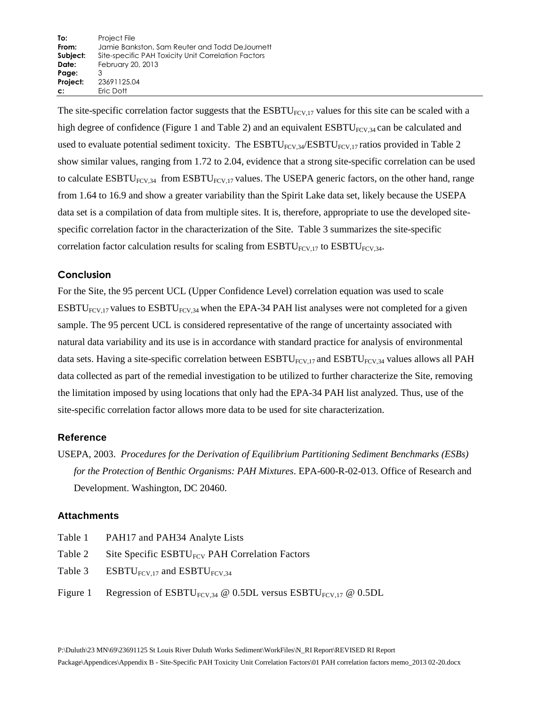The site-specific correlation factor suggests that the  $ESBTU_{FCV,17}$  values for this site can be scaled with a high degree of confidence (Figure 1 and Table 2) and an equivalent  $ESBTU<sub>FCV,34</sub>$  can be calculated and used to evaluate potential sediment toxicity. The  $ESBTU_{FCV,34}/ESBTU_{FCV,17}$  ratios provided in Table 2 show similar values, ranging from 1.72 to 2.04, evidence that a strong site-specific correlation can be used to calculate  $ESBTU<sub>FCV,34</sub>$  from  $ESBTU<sub>FCV,17</sub>$  values. The USEPA generic factors, on the other hand, range from 1.64 to 16.9 and show a greater variability than the Spirit Lake data set, likely because the USEPA data set is a compilation of data from multiple sites. It is, therefore, appropriate to use the developed sitespecific correlation factor in the characterization of the Site. Table 3 summarizes the site-specific correlation factor calculation results for scaling from  $ESBTU_{FCV,17}$  to  $ESBTU_{FCV,34}$ .

## **Conclusion**

For the Site, the 95 percent UCL (Upper Confidence Level) correlation equation was used to scale ESBTU<sub>FCV,17</sub> values to ESBTU<sub>FCV,34</sub> when the EPA-34 PAH list analyses were not completed for a given sample. The 95 percent UCL is considered representative of the range of uncertainty associated with natural data variability and its use is in accordance with standard practice for analysis of environmental data sets. Having a site-specific correlation between  $ESBTU_{FCV,17}$  and  $ESBTU_{FCV,34}$  values allows all PAH data collected as part of the remedial investigation to be utilized to further characterize the Site, removing the limitation imposed by using locations that only had the EPA-34 PAH list analyzed. Thus, use of the site-specific correlation factor allows more data to be used for site characterization.

## **Reference**

USEPA, 2003. *Procedures for the Derivation of Equilibrium Partitioning Sediment Benchmarks (ESBs) for the Protection of Benthic Organisms: PAH Mixtures*. EPA-600-R-02-013. Office of Research and Development. Washington, DC 20460.

## **Attachments**

- Table 1 PAH17 and PAH34 Analyte Lists
- Table 2 Site Specific  $ESBTU_{FCV}$  PAH Correlation Factors
- Table 3 ESBTU<sub>FCV,17</sub> and ESBTU<sub>FCV,34</sub>
- Figure 1 Regression of  $ESBTU_{FCV,34} \otimes 0.5DL$  versus  $ESBTU_{FCV,17} \otimes 0.5DL$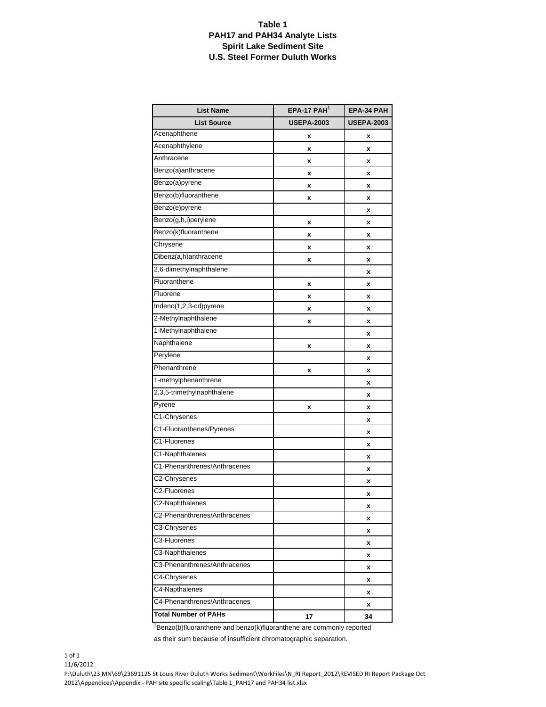#### **Table 1 PAH17 and PAH34 Analyte Lists Spirit Lake Sediment Site U.S. Steel Former Duluth Works**

| <b>List Name</b>             | $EPA-17$ $PAH1$   | EPA-34 PAH        |
|------------------------------|-------------------|-------------------|
| <b>List Source</b>           | <b>USEPA-2003</b> | <b>USEPA-2003</b> |
| Acenaphthene                 | x                 | X                 |
| Acenaphthylene               | x                 | x                 |
| Anthracene                   | x                 | x                 |
| Benzo(a)anthracene           | x                 | x                 |
| Benzo(a)pyrene               | x                 | x                 |
| Benzo(b)fluoranthene         | x                 | x                 |
| Benzo(e)pyrene               |                   | χ                 |
| Benzo(g,h,i)perylene         | x                 | X                 |
| Benzo(k)fluoranthene         | x                 | x                 |
| Chrysene                     | x                 | x                 |
| Dibenz(a,h)anthracene        | x                 | x                 |
| 2,6-dimethylnaphthalene      |                   | x                 |
| Fluoranthene                 | x                 | x                 |
| Fluorene                     | x                 | x                 |
| Indeno(1,2,3-cd)pyrene       | x                 | x                 |
| 2-Methylnaphthalene          | x                 | x                 |
| 1-Methylnaphthalene          |                   | χ                 |
| Naphthalene                  | x                 | x                 |
| Perylene                     |                   | x                 |
| Phenanthrene                 | x                 | x                 |
| 1-methylphenanthrene         |                   | x                 |
| 2,3,5-trimethylnaphthalene   |                   | x                 |
| Pyrene                       | x                 | x                 |
| C1-Chrysenes                 |                   | x                 |
| C1-Fluoranthenes/Pyrenes     |                   | x                 |
| C1-Fluorenes                 |                   | x                 |
| C1-Naphthalenes              |                   | χ                 |
| C1-Phenanthrenes/Anthracenes |                   | x                 |
| C2-Chrysenes                 |                   | x                 |
| C2-Fluorenes                 |                   | x                 |
| C2-Naphthalenes              |                   | x                 |
| C2-Phenanthrenes/Anthracenes |                   | x                 |
| C3-Chrysenes                 |                   | x                 |
| C3-Fluorenes                 |                   | x                 |
| C3-Naphthalenes              |                   | x                 |
| C3-Phenanthrenes/Anthracenes |                   | x                 |
| C4-Chrysenes                 |                   | x                 |
| C4-Napthalenes               |                   | x                 |
| C4-Phenanthrenes/Anthracenes |                   | x                 |
| <b>Total Number of PAHs</b>  | 17                | 34                |

 $1$ Benzo(b)fluoranthene and benzo(k)fluoranthene are commonly reported

as their sum because of insufficient chromatographic separation.

1 of 1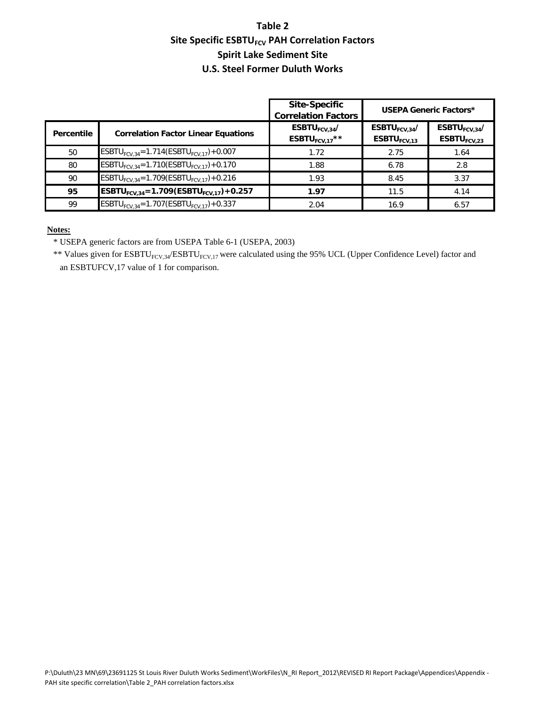## **Table 2 Site Specific ESBTU<sub>FCV</sub> PAH Correlation Factors Spirit Lake Sediment Site U.S. Steel Former Duluth Works**

|            |                                                                | <b>Site-Specific</b><br><b>Correlation Factors</b> | <b>USEPA Generic Factors*</b>                    |                                                  |  |  |  |
|------------|----------------------------------------------------------------|----------------------------------------------------|--------------------------------------------------|--------------------------------------------------|--|--|--|
| Percentile | <b>Correlation Factor Linear Equations</b>                     | ESBTU $_{FCV.34}$ /<br>ESBTU <sub>FCV.17</sub> **  | ESBTU $_{FCV.34}$ /<br>$ESBTU$ <sub>FCV.13</sub> | ESBTU $_{FCV.34}$ /<br>$ESBTU$ <sub>FCV.23</sub> |  |  |  |
| 50         | ESBTU <sub>FCV.34</sub> =1.714(ESBTU <sub>FCV.17</sub> )+0.007 | 1.72                                               | 2.75                                             | 1.64                                             |  |  |  |
| 80         | ESBTU <sub>FCV.34</sub> =1.710(ESBTU <sub>FCV.17</sub> )+0.170 | 1.88                                               | 6.78                                             | 2.8                                              |  |  |  |
| 90         | ESBTU <sub>FCV.34</sub> =1.709(ESBTU <sub>FCV.17</sub> )+0.216 | 1.93                                               | 8.45                                             | 3.37                                             |  |  |  |
| 95         | ESBTU <sub>FCV.34</sub> =1.709(ESBTU <sub>FCV.17</sub> )+0.257 | 1.97                                               | 11.5                                             | 4.14                                             |  |  |  |
| 99         | ESBTU <sub>ECV.34</sub> =1.707(ESBTU <sub>ECV.17</sub> )+0.337 | 2.04                                               | 16.9                                             | 6.57                                             |  |  |  |

#### **Notes:**

\* USEPA generic factors are from USEPA Table 6-1 (USEPA, 2003)

\*\* Values given for  $ESBTU_{FCV,34}/ESBTU_{FCV,17}$  were calculated using the 95% UCL (Upper Confidence Level) factor and an ESBTUFCV,17 value of 1 for comparison.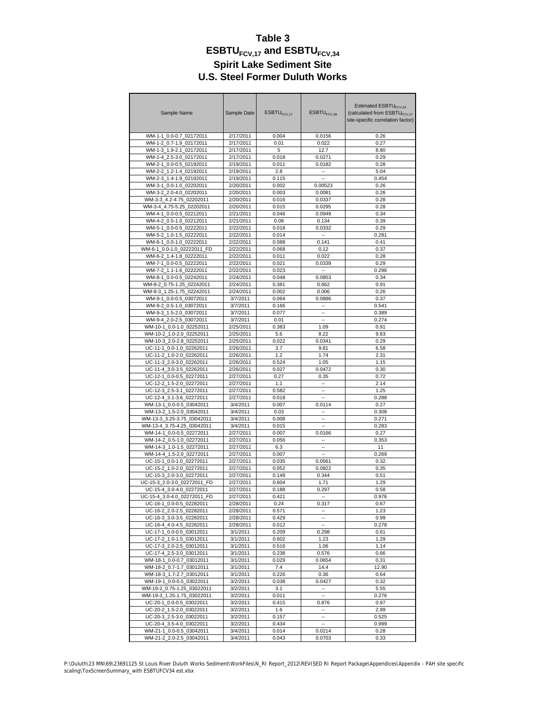| Sample Name                                              | Sample Date           | $ESBTU$ <sub>FCV 17</sub> | ESBTU <sub>FCV,34</sub>  | Estimated ESBTU <sub>FCV34</sub><br>(calculated from ESBTU <sub>FCV.17</sub><br>site-specific correlation factor) |  |  |  |
|----------------------------------------------------------|-----------------------|---------------------------|--------------------------|-------------------------------------------------------------------------------------------------------------------|--|--|--|
| WM-1-1_0.0-0.7_02172011                                  | 2/17/2011             | 0.004                     | 0.0156                   | 0.26                                                                                                              |  |  |  |
| WM-1-2 0.7-1.9 02172011                                  | 2/17/2011             | 0.01                      | 0.022                    | 0.27                                                                                                              |  |  |  |
| WM-1-3 1.9-2.1 02172011                                  | 2/17/2011             | 5                         | 12.7                     | 8.80                                                                                                              |  |  |  |
| WM-1-4 2.5-3.0 02172011                                  | 2/17/2011             | 0.018                     | 0.0271                   | 0.29                                                                                                              |  |  |  |
| WM-2-1 0.0-0.5 02192011                                  | 2/19/2011             | 0.011                     | 0.0182                   | 0.28                                                                                                              |  |  |  |
| WM-2-2 1.2-1.4 02192011                                  | 2/19/2011             | 2.8                       | ٠.                       | 5.04                                                                                                              |  |  |  |
| WM-2-3 1.4-1.9 02192011                                  | 2/19/2011             | 0.115                     |                          | 0.454                                                                                                             |  |  |  |
| WM-3-1 0.0-1.0 02202011                                  | 2/20/2011             | 0.002                     | 0.00523                  | 0.26                                                                                                              |  |  |  |
| WM-3-2 2.0-4.0 02202011                                  | 2/20/2011             | 0.003                     | 0.0081                   | 0.26                                                                                                              |  |  |  |
| WM-3-3 4.2-4.75 02202011                                 | 2/20/2011             | 0.016                     | 0.0337                   | 0.28                                                                                                              |  |  |  |
| WM-3-4_4.75-5.25_02202011                                | 2/20/2011             | 0.015                     | 0.0295                   | 0.28                                                                                                              |  |  |  |
| WM-4-1 0.0-0.5 02212011                                  | 2/21/2011             | 0.046                     | 0.0949                   | 0.34                                                                                                              |  |  |  |
| WM-4-2 0.5-1.0 02212011                                  | 2/21/2011             | 0.08                      | 0.134                    | 0.39                                                                                                              |  |  |  |
| WM-5-1_0.0-0.5_02222011                                  | 2/22/2011             | 0.018                     | 0.0332                   | 0.29                                                                                                              |  |  |  |
| WM-5-2 1.0-1.5 02222011                                  | 2/22/2011             | 0.014                     | --                       | 0.281                                                                                                             |  |  |  |
| WM-6-1 0.0-1.0 02222011                                  | 2/22/2011             | 0.088                     | 0.141                    | 0.41                                                                                                              |  |  |  |
| WM-6-1_0.0-1.0_02222011_FD                               | 2/22/2011             | 0.068                     | 0.12                     | 0.37                                                                                                              |  |  |  |
| WM-6-2_1.4-1.8_02222011                                  | 2/22/2011             | 0.011                     | 0.022                    | 0.28                                                                                                              |  |  |  |
| WM-7-1_0.0-0.5_02222011                                  | 2/22/2011             | 0.021                     | 0.0339                   | 0.29                                                                                                              |  |  |  |
| WM-7-2_1.1-1.6_02222011                                  | 2/22/2011             | 0.023                     | $\overline{\phantom{a}}$ | 0.296                                                                                                             |  |  |  |
| WM-8-1 0.0-0.5 02242011                                  | 2/24/2011             | 0.048                     | 0.0853                   | 0.34                                                                                                              |  |  |  |
| WM-8-2 0.75-1.25 02242011                                | 2/24/2011             | 0.381                     | 0.662                    | 0.91                                                                                                              |  |  |  |
| WM-8-3 1.25-1.75 02242011                                | 2/24/2011             | 0.002                     | 0.006                    | 0.26                                                                                                              |  |  |  |
| WM-9-1 0.0-0.5 03072011                                  | 3/7/2011<br>3/7/2011  | 0.064                     | 0.0886                   | 0.37                                                                                                              |  |  |  |
| WM-9-2_0.5-1.0_03072011<br>WM-9-3 1.5-2.0 03072011       | 3/7/2011              | 0.166<br>0.077            | ä.                       | 0.541<br>0.389                                                                                                    |  |  |  |
|                                                          |                       |                           | ä.                       |                                                                                                                   |  |  |  |
| WM-9-4 2.0-2.5 03072011<br>WM-10-1 0.0-1.0 02252011      | 3/7/2011<br>2/25/2011 | 0.01<br>0.383             |                          | 0.274<br>0.91                                                                                                     |  |  |  |
| WM-10-2 1.0-2.0 02252011                                 | 2/25/2011             | 5.6                       | 1.09                     | 9.83                                                                                                              |  |  |  |
| WM-10-3 2.0-2.8 02252011                                 | 2/25/2011             | 0.022                     | 8.22<br>0.0341           | 0.29                                                                                                              |  |  |  |
| UC-11-1 0.0-1.0 02262011                                 | 2/26/2011             | 3.7                       | 9.81                     | 6.58                                                                                                              |  |  |  |
| UC-11-2 1.0-2.0 02262011                                 | 2/26/2011             | 1.2                       | 1.74                     | 2.31                                                                                                              |  |  |  |
| UC-11-3_2.0-3.0_02262011                                 | 2/26/2011             | 0.524                     | 1.05                     | 1.15                                                                                                              |  |  |  |
| UC-11-4 3.0-3.5 02262011                                 | 2/26/2011             | 0.027                     | 0.0472                   | 0.30                                                                                                              |  |  |  |
| UC-12-1 0.0-0.5 02272011                                 | 2/27/2011             | 0.27                      | 0.35                     | 0.72                                                                                                              |  |  |  |
| UC-12-2_1.5-2.0_02272011                                 | 2/27/2011             | 1.1                       | $\sim$                   | 2.14                                                                                                              |  |  |  |
| UC-12-3 2.5-3.1 02272011                                 | 2/27/2011             | 0.582                     |                          | 1.25                                                                                                              |  |  |  |
| UC-12-4 3.1-3.6 02272011                                 | 2/27/2011             | 0.018                     | $\sim$                   | 0.288                                                                                                             |  |  |  |
| WM-13-1_0.0-0.5_03042011                                 | 3/4/2011              | 0.007                     | 0.0114                   | 0.27                                                                                                              |  |  |  |
| WM-13-2 1.5-2.0 03042011                                 | 3/4/2011              | 0.03                      |                          | 0.308                                                                                                             |  |  |  |
| WM-13-3 3.25-3.75 03042011                               | 3/4/2011              | 0.008                     | ä.                       | 0.271                                                                                                             |  |  |  |
| WM-13-4_3.75-4.25_03042011                               | 3/4/2011              | 0.015                     |                          | 0.283                                                                                                             |  |  |  |
| WM-14-1_0.0-0.5_02272011                                 | 2/27/2011             | 0.007                     | 0.0166                   | 0.27                                                                                                              |  |  |  |
| WM-14-2 0.5-1.0 02272011                                 | 2/27/2011             | 0.056                     | ä.                       | 0.353                                                                                                             |  |  |  |
| WM-14-3_1.0-1.5_02272011                                 | 2/27/2011             | 6.3                       | $\overline{a}$           | 11                                                                                                                |  |  |  |
| WM-14-4 1.5-2.0 02272011                                 | 2/27/2011             | 0.007                     |                          | 0.269                                                                                                             |  |  |  |
| UC-15-1 0.0-1.0 02272011                                 | 2/27/2011             | 0.035                     | 0.0561                   | 0.32                                                                                                              |  |  |  |
| UC-15-2 1.0-2.0 02272011                                 | 2/27/2011             | 0.052                     | 0.0822                   | 0.35                                                                                                              |  |  |  |
| UC-15-3 2.0-3.0 02272011                                 | 2/27/2011             | 0.149                     | 0.344                    | 0.51                                                                                                              |  |  |  |
| UC-15-3 2.0-3.0 02272011 FD                              | 2/27/2011             | 0.604                     | 1.71                     | 1.29                                                                                                              |  |  |  |
| UC-15-4 3.0-4.0 02272011                                 | 2/27/2011             | 0.188                     | 0.297                    | 0.58                                                                                                              |  |  |  |
| UC-15-4_3.0-4.0_02272011_FD                              | 2/27/2011             | 0.421                     |                          | 0.976                                                                                                             |  |  |  |
| UC-16-1_0.0-0.5_02282011                                 | 2/28/2011             | 0.24                      | 0.317                    | 0.67                                                                                                              |  |  |  |
| UC-16-2_2.0-2.5_02282011                                 | 2/28/2011             | 0.571                     |                          | 1.23                                                                                                              |  |  |  |
| UC-16-3 3.0-3.5 02282011                                 | 2/28/2011             | 0.429                     | ä.                       | 0.99                                                                                                              |  |  |  |
| UC-16-4 4.0-4.5 02282011                                 | 2/28/2011             | 0.012                     |                          | 0.278                                                                                                             |  |  |  |
| UC-17-1 0.0-0.5 03012011                                 | 3/1/2011              | 0.209                     | 0.298                    | 0.61                                                                                                              |  |  |  |
| UC-17-2_1.0-1.5_03012011                                 | 3/1/2011              | 0.602                     | 1.23                     | 1.29                                                                                                              |  |  |  |
| UC-17-3_2.0-2.5_03012011                                 | 3/1/2011              | 0.516                     | 1.06                     | 1.14                                                                                                              |  |  |  |
| UC-17-4_2.5-3.0_03012011                                 | 3/1/2011              | 0.238                     | 0.576                    | 0.66                                                                                                              |  |  |  |
| WM-18-1_0.0-0.7_03012011                                 | 3/1/2011              | 0.029                     | 0.0654                   | 0.31                                                                                                              |  |  |  |
| WM-18-2_0.7-1.7_03012011                                 | 3/1/2011              | 7.4                       | 14.4                     | 12.90                                                                                                             |  |  |  |
| WM-18-3_1.7-2.7_03012011                                 | 3/1/2011              | 0.226                     | 0.36                     | 0.64                                                                                                              |  |  |  |
| WM-19-1_0.0-0.5_03022011                                 | 3/2/2011              | 0.038                     | 0.0427                   | 0.32                                                                                                              |  |  |  |
| WM-19-2_0.75-1.25_03022011<br>WM-19-3_1.25-1.75_03022011 | 3/2/2011<br>3/2/2011  | 3.1                       | $\mathbf{u}$             | 5.55<br>0.276                                                                                                     |  |  |  |
| UC-20-1_0.0-0.5_03022011                                 | 3/2/2011              | 0.011<br>0.415            | 0.876                    | 0.97                                                                                                              |  |  |  |
| UC-20-2_1.5-2.0_03022011                                 | 3/2/2011              | 1.6                       |                          | 2.99                                                                                                              |  |  |  |
| UC-20-3_2.5-3.0_03022011                                 | 3/2/2011              | 0.157                     | ۰.                       | 0.525                                                                                                             |  |  |  |
| UC-20-4_3.5-4.0_03022011                                 | 3/2/2011              | 0.434                     | $\overline{\phantom{a}}$ | 0.999                                                                                                             |  |  |  |
| WM-21-1_0.0-0.5_03042011                                 | 3/4/2011              | 0.014                     | 0.0214                   | 0.28                                                                                                              |  |  |  |
| WM-21-2_2.0-2.5_03042011                                 | 3/4/2011              | 0.043                     | 0.0703                   | 0.33                                                                                                              |  |  |  |
|                                                          |                       |                           |                          |                                                                                                                   |  |  |  |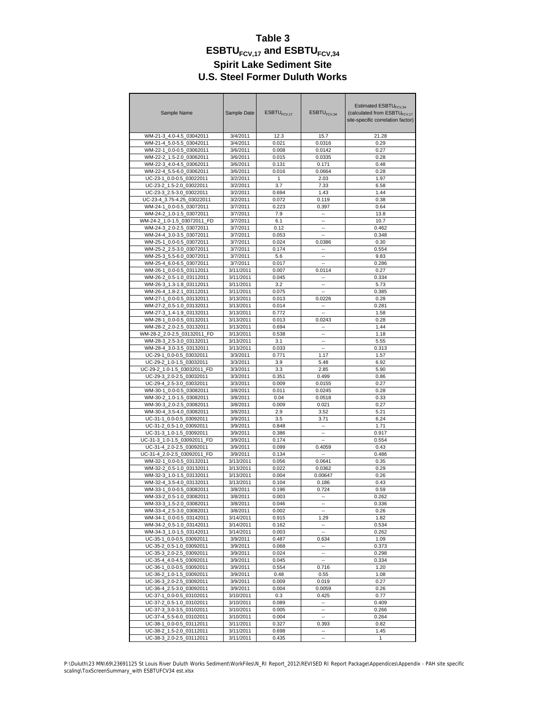| Sample Name                 | Sample Date | ESBTU <sub>FCV.17</sub> | ESBTU <sub>FCV,34</sub>  | Estimated ESBTU <sub>FCV.34</sub><br>(calculated from ESBTU <sub>FCV.17</sub><br>site-specific correlation factor) |  |  |  |
|-----------------------------|-------------|-------------------------|--------------------------|--------------------------------------------------------------------------------------------------------------------|--|--|--|
| WM-21-3_4.0-4.5_03042011    | 3/4/2011    | 12.3                    | 15.7                     | 21.28                                                                                                              |  |  |  |
| WM-21-4 5.0-5.5 03042011    | 3/4/2011    | 0.021                   | 0.0316                   | 0.29                                                                                                               |  |  |  |
| WM-22-1 0.0-0.5 03062011    | 3/6/2011    | 0.008                   | 0.0142                   | 0.27                                                                                                               |  |  |  |
| WM-22-2 1.5-2.0 03062011    | 3/6/2011    | 0.015                   | 0.0335                   | 0.28                                                                                                               |  |  |  |
| WM-22-3 4.0-4.5 03062011    | 3/6/2011    | 0.131                   | 0.171                    | 0.48                                                                                                               |  |  |  |
| WM-22-4 5.5-6.0 03062011    | 3/6/2011    | 0.016                   | 0.0664                   | 0.28                                                                                                               |  |  |  |
| UC-23-1 0.0-0.5 03022011    | 3/2/2011    | 1                       | 2.03                     | 1.97                                                                                                               |  |  |  |
| UC-23-2_1.5-2.0_03022011    | 3/2/2011    | 3.7                     | 7.33                     | 6.58                                                                                                               |  |  |  |
| UC-23-3 2.5-3.0 03022011    | 3/2/2011    | 0.694                   | 1.43                     | 1.44                                                                                                               |  |  |  |
| UC-23-4 3.75-4.25 03022011  | 3/2/2011    | 0.072                   | 0.119                    | 0.38                                                                                                               |  |  |  |
| WM-24-1_0.0-0.5_03072011    | 3/7/2011    | 0.223                   |                          | 0.64                                                                                                               |  |  |  |
|                             |             |                         | 0.397                    |                                                                                                                    |  |  |  |
| WM-24-2 1.0-1.5 03072011    | 3/7/2011    | 7.9                     |                          | 13.8                                                                                                               |  |  |  |
| WM-24-2 1.0-1.5 03072011 FD | 3/7/2011    | 6.1                     | $\overline{a}$           | 10.7                                                                                                               |  |  |  |
| WM-24-3_2.0-2.5_03072011    | 3/7/2011    | 0.12                    | ٠.                       | 0.462                                                                                                              |  |  |  |
| WM-24-4_3.0-3.5_03072011    | 3/7/2011    | 0.053                   |                          | 0.348                                                                                                              |  |  |  |
| WM-25-1 0.0-0.5 03072011    | 3/7/2011    | 0.024                   | 0.0386                   | 0.30                                                                                                               |  |  |  |
| WM-25-2 2.5-3.0 03072011    | 3/7/2011    | 0.174                   | $\overline{\phantom{a}}$ | 0.554                                                                                                              |  |  |  |
| WM-25-3 5.5-6.0 03072011    | 3/7/2011    | 5.6                     |                          | 9.83                                                                                                               |  |  |  |
| WM-25-4_6.0-6.5_03072011    | 3/7/2011    | 0.017                   | $\overline{a}$           | 0.286                                                                                                              |  |  |  |
| WM-26-1_0.0-0.5_03112011    | 3/11/2011   | 0.007                   | 0.0114                   | 0.27                                                                                                               |  |  |  |
| WM-26-2 0.5-1.0 03112011    | 3/11/2011   | 0.045                   |                          | 0.334                                                                                                              |  |  |  |
| WM-26-3_1.3-1.8_03112011    | 3/11/2011   | 3.2                     | $\overline{a}$           | 5.73                                                                                                               |  |  |  |
| WM-26-4 1.8-2.1 03112011    | 3/11/2011   | 0.075                   |                          | 0.385                                                                                                              |  |  |  |
| WM-27-1 0.0-0.5 03132011    | 3/13/2011   | 0.013                   | 0.0226                   | 0.28                                                                                                               |  |  |  |
| WM-27-2 0.5-1.0 03132011    | 3/13/2011   | 0.014                   | ٠.                       | 0.281                                                                                                              |  |  |  |
| WM-27-3_1.4-1.9_03132011    | 3/13/2011   | 0.772                   |                          | 1.58                                                                                                               |  |  |  |
| WM-28-1_0.0-0.5_03132011    | 3/13/2011   | 0.013                   | 0.0243                   | 0.28                                                                                                               |  |  |  |
| WM-28-2 2.0-2.5 03132011    | 3/13/2011   | 0.694                   | $\overline{\phantom{a}}$ | 1.44                                                                                                               |  |  |  |
| WM-28-2_2.0-2.5_03132011_FD | 3/13/2011   | 0.538                   |                          | 1.18                                                                                                               |  |  |  |
| WM-28-3_2.5-3.0_03132011    | 3/13/2011   | 3.1                     |                          | 5.55                                                                                                               |  |  |  |
| WM-28-4 3.0-3.5 03132011    | 3/13/2011   | 0.033                   | $\overline{\phantom{a}}$ | 0.313                                                                                                              |  |  |  |
| UC-29-1 0.0-0.5 03032011    | 3/3/2011    | 0.771                   | 1.17                     | 1.57                                                                                                               |  |  |  |
| UC-29-2_1.0-1.5_03032011    | 3/3/2011    | 3.9                     | 5.48                     | 6.92                                                                                                               |  |  |  |
| UC-29-2_1.0-1.5_03032011_FD | 3/3/2011    | 3.3                     | 2.85                     | 5.90                                                                                                               |  |  |  |
| UC-29-3 2.0-2.5 03032011    | 3/3/2011    | 0.351                   | 0.499                    | 0.86                                                                                                               |  |  |  |
| UC-29-4_2.5-3.0_03032011    | 3/3/2011    | 0.009                   | 0.0155                   | 0.27                                                                                                               |  |  |  |
| WM-30-1 0.0-0.5 03082011    | 3/8/2011    | 0.011                   | 0.0245                   | 0.28                                                                                                               |  |  |  |
|                             |             |                         |                          |                                                                                                                    |  |  |  |
| WM-30-2 1.0-1.5 03082011    | 3/8/2011    | 0.04                    | 0.0518                   | 0.33                                                                                                               |  |  |  |
| WM-30-3_2.0-2.5_03082011    | 3/8/2011    | 0.009                   | 0.021                    | 0.27                                                                                                               |  |  |  |
| WM-30-4_3.5-4.0_03082011    | 3/8/2011    | 2.9                     | 3.52                     | 5.21                                                                                                               |  |  |  |
| UC-31-1 0.0-0.5 03092011    | 3/9/2011    | 3.5                     | 3.71                     | 6.24                                                                                                               |  |  |  |
| UC-31-2 0.5-1.0 03092011    | 3/9/2011    | 0.848                   |                          | 1.71                                                                                                               |  |  |  |
| UC-31-3 1.0-1.5 03092011    | 3/9/2011    | 0.386                   | $\sim$                   | 0.917                                                                                                              |  |  |  |
| UC-31-3_1.0-1.5_03092011_FD | 3/9/2011    | 0.174                   | $\overline{a}$           | 0.554                                                                                                              |  |  |  |
| UC-31-4 2.0-2.5 03092011    | 3/9/2011    | 0.099                   | 0.4059                   | 0.43                                                                                                               |  |  |  |
| UC-31-4 2.0-2.5 03092011 FD | 3/9/2011    | 0.134                   |                          | 0.486                                                                                                              |  |  |  |
| WM-32-1_0.0-0.5_03132011    | 3/13/2011   | 0.056                   | 0.0641                   | 0.35                                                                                                               |  |  |  |
| WM-32-2_0.5-1.0_03132011    | 3/13/2011   | 0.022                   | 0.0362                   | 0.29                                                                                                               |  |  |  |
| WM-32-3 1.0-1.5 03132011    | 3/13/2011   | 0.004                   | 0.00647                  | 0.26                                                                                                               |  |  |  |
| WM-32-4 3.5-4.0 03132011    | 3/13/2011   | 0.104                   | 0.186                    | 0.43                                                                                                               |  |  |  |
| WM-33-1_0.0-0.5_03082011    | 3/8/2011    | 0.196                   | 0.724                    | 0.59                                                                                                               |  |  |  |
| WM-33-2_0.5-1.0_03082011    | 3/8/2011    | 0.003                   |                          | 0.262                                                                                                              |  |  |  |
| WM-33-3 1.5-2.0 03082011    | 3/8/2011    | 0.046                   | ۰.                       | 0.336                                                                                                              |  |  |  |
| WM-33-4 2.5-3.0 03082011    | 3/8/2011    | 0.002                   |                          | 0.26                                                                                                               |  |  |  |
| WM-34-1 0.0-0.5 03142011    | 3/14/2011   | 0.915                   | 1.29                     | 1.82                                                                                                               |  |  |  |
| WM-34-2_0.5-1.0_03142011    | 3/14/2011   | 0.162                   | $\sim$                   | 0.534                                                                                                              |  |  |  |
| WM-34-3_1.0-1.5_03142011    | 3/14/2011   | 0.003                   | ٠.                       | 0.262                                                                                                              |  |  |  |
| UC-35-1 0.0-0.5 03092011    | 3/9/2011    | 0.487                   | 0.634                    | 1.09                                                                                                               |  |  |  |
| UC-35-2 0.5-1.0 03092011    | 3/9/2011    | 0.068                   |                          | 0.373                                                                                                              |  |  |  |
| UC-35-3_2.0-2.5_03092011    | 3/9/2011    | 0.024                   | $\overline{\phantom{a}}$ | 0.298                                                                                                              |  |  |  |
| UC-35-4_4.0-4.5_03092011    | 3/9/2011    | 0.045                   |                          | 0.334                                                                                                              |  |  |  |
| UC-36-1_0.0-0.5_03092011    | 3/9/2011    | 0.554                   | 0.716                    | 1.20                                                                                                               |  |  |  |
| UC-36-2 1.0-1.5 03092011    | 3/9/2011    | 0.48                    | 0.55                     | 1.08                                                                                                               |  |  |  |
| UC-36-3_2.0-2.5_03092011    | 3/9/2011    | 0.009                   | 0.019                    | 0.27                                                                                                               |  |  |  |
| UC-36-4_2.5-3.0_03092011    | 3/9/2011    | 0.004                   | 0.0059                   | 0.26                                                                                                               |  |  |  |
| UC-37-1_0.0-0.5_03102011    | 3/10/2011   | 0.3                     | 0.425                    | 0.77                                                                                                               |  |  |  |
| UC-37-2_0.5-1.0_03102011    | 3/10/2011   | 0.089                   | $\overline{\phantom{a}}$ | 0.409                                                                                                              |  |  |  |
| UC-37-3_3.0-3.5_03102011    | 3/10/2011   | 0.005                   | ä.                       | 0.266                                                                                                              |  |  |  |
| UC-37-4_5.5-6.0_03102011    | 3/10/2011   | 0.004                   | ۰.                       | 0.264                                                                                                              |  |  |  |
| UC-38-1_0.0-0.5_03112011    | 3/11/2011   | 0.327                   | 0.393                    | 0.82                                                                                                               |  |  |  |
| UC-38-2_1.5-2.0_03112011    |             |                         |                          |                                                                                                                    |  |  |  |
|                             | 3/11/2011   | 0.698                   |                          | 1.45                                                                                                               |  |  |  |
| UC-38-3_2.0-2.5_03112011    | 3/11/2011   | 0.435                   |                          | 1                                                                                                                  |  |  |  |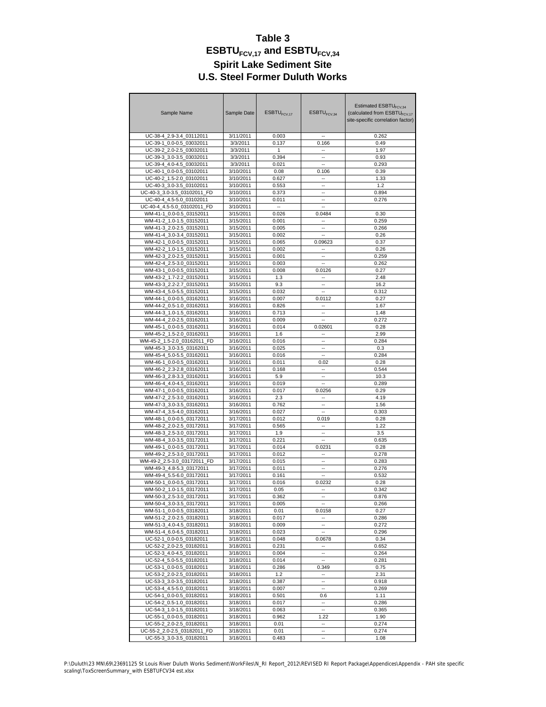| Sample Name                                             | Sample Date            | ESBTU <sub>FCV.17</sub>  | ESBTU <sub>FCV.34</sub>   | Estimated ESBTU <sub>FCV.34</sub><br>(calculated from ESBTU <sub>FCV.17</sub><br>site-specific correlation factor) |
|---------------------------------------------------------|------------------------|--------------------------|---------------------------|--------------------------------------------------------------------------------------------------------------------|
| UC-38-4 2.9-3.4 03112011                                | 3/11/2011              | 0.003                    |                           | 0.262                                                                                                              |
| UC-39-1 0.0-0.5 03032011                                | 3/3/2011               | 0.137                    | 0.166                     | 0.49                                                                                                               |
| UC-39-2_2.0-2.5_03032011                                | 3/3/2011               | 1                        | ۰.                        | 1.97                                                                                                               |
| UC-39-3 3.0-3.5 03032011                                | 3/3/2011               | 0.394                    |                           | 0.93                                                                                                               |
| UC-39-4 4.0-4.5 03032011                                | 3/3/2011               | 0.021                    | ÷.                        | 0.293                                                                                                              |
| UC-40-1_0.0-0.5_03102011                                | 3/10/2011              | 0.08                     | 0.106                     | 0.39                                                                                                               |
| UC-40-2 1.5-2.0 03102011                                | 3/10/2011              | 0.627                    |                           | 1.33                                                                                                               |
| UC-40-3 3.0-3.5 03102011                                | 3/10/2011              | 0.553                    | ä.                        | 1.2                                                                                                                |
| UC-40-3 3.0-3.5 03102011 FD                             | 3/10/2011              | 0.373                    | $\overline{a}$            | 0.894                                                                                                              |
| UC-40-4_4.5-5.0_03102011                                | 3/10/2011              | 0.011                    |                           | 0.276                                                                                                              |
| UC-40-4_4.5-5.0_03102011_FD                             | 3/10/2011              | $\overline{\phantom{a}}$ | Ξ.                        |                                                                                                                    |
| WM-41-1_0.0-0.5_03152011                                | 3/15/2011              | 0.026                    | 0.0484                    | 0.30                                                                                                               |
| WM-41-2 1.0-1.5 03152011                                | 3/15/2011              | 0.001                    | $\sim$                    | 0.259                                                                                                              |
| WM-41-3_2.0-2.5_03152011                                | 3/15/2011              | 0.005                    | Ξ.                        | 0.266                                                                                                              |
| WM-41-4 3.0-3.4 03152011                                | 3/15/2011              | 0.002                    | $\overline{a}$            | 0.26                                                                                                               |
| WM-42-1 0.0-0.5 03152011                                | 3/15/2011              | 0.065                    |                           | 0.37                                                                                                               |
| WM-42-2_1.0-1.5_03152011                                | 3/15/2011              | 0.002                    | 0.09623<br>$\overline{a}$ | 0.26                                                                                                               |
|                                                         |                        |                          |                           |                                                                                                                    |
| WM-42-3 2.0-2.5 03152011                                | 3/15/2011              | 0.001                    |                           | 0.259                                                                                                              |
| WM-42-4 2.5-3.0 03152011                                | 3/15/2011              | 0.003                    |                           | 0.262                                                                                                              |
| WM-43-1_0.0-0.5_03152011                                | 3/15/2011              | 0.008                    | 0.0126                    | 0.27                                                                                                               |
| WM-43-2 1.7-2.2 03152011                                | 3/15/2011              | 1.3                      |                           | 2.48                                                                                                               |
| WM-43-3 2.2-2.7 03152011                                | 3/15/2011              | 9.3                      | ä.                        | 16.2                                                                                                               |
| WM-43-4_5.0-5.5_03152011                                | 3/15/2011              | 0.032                    | ٠.                        | 0.312                                                                                                              |
| WM-44-1_0.0-0.5_03162011                                | 3/16/2011              | 0.007                    | 0.0112                    | 0.27                                                                                                               |
| WM-44-2 0.5-1.0 03162011                                | 3/16/2011              | 0.826                    | Ξ.                        | 1.67                                                                                                               |
| WM-44-3 1.0-1.5 03162011                                | 3/16/2011              | 0.713                    | ٠.                        | 1.48                                                                                                               |
| WM-44-4 2.0-2.5 03162011                                | 3/16/2011              | 0.009                    |                           | 0.272                                                                                                              |
| WM-45-1_0.0-0.5_03162011                                | 3/16/2011              | 0.014                    | 0.02601                   | 0.28                                                                                                               |
| WM-45-2 1.5-2.0 03162011                                | 3/16/2011              | 1.6                      |                           | 2.99                                                                                                               |
| WM-45-2_1.5-2.0_03162011_FD                             | 3/16/2011              | 0.016                    |                           | 0.284                                                                                                              |
| WM-45-3_3.0-3.5_03162011                                | 3/16/2011              | 0.025                    | $\overline{a}$            | 0.3                                                                                                                |
| WM-45-4 5.0-5.5 03162011                                | 3/16/2011              | 0.016                    |                           | 0.284                                                                                                              |
| WM-46-1 0.0-0.5 03162011                                | 3/16/2011              | 0.011                    | 0.02                      | 0.28                                                                                                               |
| WM-46-2 2.3-2.8 03162011                                | 3/16/2011              | 0.168                    | ٠.                        | 0.544                                                                                                              |
| WM-46-3_2.8-3.3_03162011                                | 3/16/2011              | 5.9                      |                           | 10.3                                                                                                               |
| WM-46-4_4.0-4.5_03162011                                | 3/16/2011              | 0.019                    | Ξ.                        | 0.289                                                                                                              |
| WM-47-1 0.0-0.5 03162011                                | 3/16/2011              | 0.017                    | 0.0256                    | 0.29                                                                                                               |
| WM-47-2 2.5-3.0 03162011                                | 3/16/2011              | 2.3                      |                           | 4.19                                                                                                               |
| WM-47-3_3.0-3.5_03162011                                | 3/16/2011              | 0.762                    |                           | 1.56                                                                                                               |
| WM-47-4 3.5-4.0 03162011                                | 3/16/2011              | 0.027                    | ۰.                        | 0.303                                                                                                              |
| WM-48-1 0.0-0.5 03172011                                | 3/17/2011              | 0.012                    | 0.019                     | 0.28                                                                                                               |
| WM-48-2_2.0-2.5_03172011                                | 3/17/2011              | 0.565                    | $\overline{a}$            | 1.22                                                                                                               |
| WM-48-3 2.5-3.0 03172011                                | 3/17/2011<br>3/17/2011 | 1.9                      |                           | 3.5                                                                                                                |
| WM-48-4 3.0-3.5 03172011                                |                        | 0.221                    | $\overline{\phantom{a}}$  | 0.635                                                                                                              |
| WM-49-1 0.0-0.5 03172011                                | 3/17/2011              | 0.014                    | 0.0231                    | 0.28                                                                                                               |
| WM-49-2 2.5-3.0 03172011                                | 3/17/2011              | 0.012                    |                           | 0.278                                                                                                              |
| WM-49-2 2.5-3.0 03172011 FD                             | 3/17/2011              | 0.015                    | ä.                        | 0.283                                                                                                              |
| WM-49-3_4.8-5.3_03172011                                | 3/17/2011              | 0.011                    | ٠.                        | 0.276                                                                                                              |
| WM-49-4_5.5-6.0_03172011                                | 3/17/2011              | 0.161                    |                           | 0.532                                                                                                              |
| WM-50-1 0.0-0.5 03172011                                | 3/17/2011              | 0.016                    | 0.0232                    | 0.28                                                                                                               |
| WM-50-2_1.0-1.5_03172011                                | 3/17/2011              | 0.05                     |                           | 0.342                                                                                                              |
| WM-50-3_2.5-3.0_03172011                                | 3/17/2011              | 0.362                    |                           | 0.876                                                                                                              |
| WM-50-4_3.0-3.5_03172011                                | 3/17/2011              | 0.005                    | $\overline{\phantom{a}}$  | 0.266                                                                                                              |
| WM-51-1 0.0-0.5 03182011                                | 3/18/2011              | 0.01                     | 0.0158                    | 0.27                                                                                                               |
| WM-51-2_2.0-2.5_03182011                                | 3/18/2011              | 0.017                    |                           | 0.286                                                                                                              |
| WM-51-3_4.0-4.5_03182011                                | 3/18/2011              | 0.009                    | $\overline{\phantom{a}}$  | 0.272                                                                                                              |
| WM-51-4_6.0-6.5_03182011                                | 3/18/2011              | 0.023                    |                           | 0.296                                                                                                              |
| UC-52-1 0.0-0.5 03182011                                | 3/18/2011              | 0.048                    | 0.0678                    | 0.34                                                                                                               |
| UC-52-2 2.0-2.5 03182011                                | 3/18/2011              | 0.231                    |                           | 0.652                                                                                                              |
| UC-52-3_4.0-4.5_03182011                                | 3/18/2011              | 0.004                    |                           | 0.264                                                                                                              |
| UC-52-4_5.0-5.5_03182011                                | 3/18/2011              | 0.014                    |                           | 0.281                                                                                                              |
| UC-53-1_0.0-0.5_03182011                                | 3/18/2011              | 0.286                    | 0.349                     | 0.75                                                                                                               |
| UC-53-2 2.0-2.5 03182011                                | 3/18/2011              | 1.2                      | $\sim$                    | 2.31                                                                                                               |
| UC-53-3_3.0-3.5_03182011                                | 3/18/2011              | 0.387                    | ۰.                        | 0.918                                                                                                              |
| UC-53-4 4.5-5.0 03182011                                | 3/18/2011              | 0.007                    | $\overline{\phantom{a}}$  | 0.269                                                                                                              |
| UC-54-1_0.0-0.5_03182011                                | 3/18/2011              | 0.501                    | 0.6                       | 1.11                                                                                                               |
| UC-54-2 0.5-1.0 03182011                                | 3/18/2011              | 0.017                    |                           | 0.286                                                                                                              |
| UC-54-3_1.0-1.5_03182011                                | 3/18/2011              | 0.063                    | $\overline{\phantom{a}}$  | 0.365                                                                                                              |
| UC-55-1_0.0-0.5_03182011                                | 3/18/2011              | 0.962                    | 1.22                      | 1.90                                                                                                               |
| UC-55-2_2.0-2.5_03182011                                | 3/18/2011<br>3/18/2011 | 0.01                     | $\overline{\phantom{a}}$  | 0.274                                                                                                              |
| UC-55-2_2.0-2.5_03182011_FD<br>UC-55-3 3.0-3.5 03182011 |                        | 0.01                     | ۰.                        | 0.274                                                                                                              |
|                                                         | 3/18/2011              | 0.483                    |                           | 1.08                                                                                                               |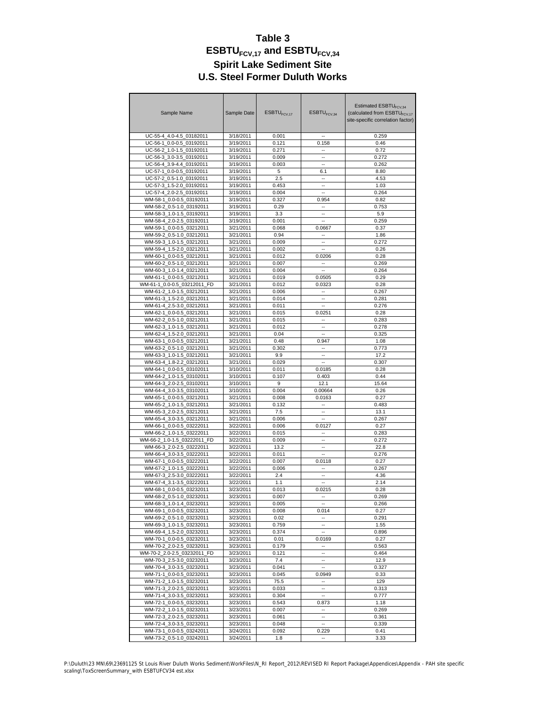| Sample Name                                          | Sample Date            | ESBTU <sub>FCV.17</sub> | ESBTU <sub>FCV.34</sub>           | Estimated ESBTU <sub>FCV34</sub><br>(calculated from ESBTU <sub>FCV.17</sub><br>site-specific correlation factor) |  |  |  |
|------------------------------------------------------|------------------------|-------------------------|-----------------------------------|-------------------------------------------------------------------------------------------------------------------|--|--|--|
| UC-55-4_4.0-4.5_03182011                             | 3/18/2011              | 0.001                   |                                   | 0.259                                                                                                             |  |  |  |
| UC-56-1 0.0-0.5 03192011                             | 3/19/2011              | 0.121                   | 0.158                             | 0.46                                                                                                              |  |  |  |
| UC-56-2_1.0-1.5_03192011                             | 3/19/2011              | 0.271                   | ۰.                                | 0.72                                                                                                              |  |  |  |
| UC-56-3 3.0-3.5 03192011                             | 3/19/2011              | 0.009                   |                                   | 0.272                                                                                                             |  |  |  |
| UC-56-4 3.9-4.4 03192011                             | 3/19/2011              | 0.003                   | $\sim$                            | 0.262                                                                                                             |  |  |  |
| UC-57-1_0.0-0.5_03192011                             | 3/19/2011              | 5                       | 6.1                               | 8.80                                                                                                              |  |  |  |
| UC-57-2 0.5-1.0 03192011                             | 3/19/2011              | 2.5                     |                                   | 4.53                                                                                                              |  |  |  |
| UC-57-3 1.5-2.0 03192011                             | 3/19/2011              | 0.453                   | ÷.                                | 1.03                                                                                                              |  |  |  |
| UC-57-4 2.0-2.5 03192011                             | 3/19/2011              | 0.004                   | ä.                                | 0.264                                                                                                             |  |  |  |
| WM-58-1_0.0-0.5_03192011                             | 3/19/2011              | 0.327                   | 0.954                             | 0.82                                                                                                              |  |  |  |
| WM-58-2 0.5-1.0 03192011                             | 3/19/2011              | 0.29                    | $\overline{a}$                    | 0.753                                                                                                             |  |  |  |
| WM-58-3 1.0-1.5 03192011                             | 3/19/2011              | 3.3                     | ۰.                                | 5.9                                                                                                               |  |  |  |
| WM-58-4 2.0-2.5 03192011                             | 3/19/2011              | 0.001                   |                                   | 0.259                                                                                                             |  |  |  |
| WM-59-1 0.0-0.5 03212011                             | 3/21/2011              | 0.068                   | 0.0667                            | 0.37                                                                                                              |  |  |  |
| WM-59-2 0.5-1.0 03212011                             | 3/21/2011              | 0.94                    | ۰.                                | 1.86                                                                                                              |  |  |  |
| WM-59-3 1.0-1.5 03212011                             | 3/21/2011              | 0.009                   |                                   | 0.272                                                                                                             |  |  |  |
| WM-59-4_1.5-2.0_03212011                             | 3/21/2011              | 0.002                   | Ξ.                                | 0.26                                                                                                              |  |  |  |
| WM-60-1 0.0-0.5 03212011                             | 3/21/2011              | 0.012                   | 0.0206                            | 0.28                                                                                                              |  |  |  |
| WM-60-2 0.5-1.0 03212011                             | 3/21/2011              | 0.007                   |                                   | 0.269                                                                                                             |  |  |  |
| WM-60-3_1.0-1.4_03212011                             | 3/21/2011              | 0.004                   | ٠.                                | 0.264                                                                                                             |  |  |  |
| WM-61-1 0.0-0.5 03212011                             | 3/21/2011              | 0.019                   | 0.0505                            | 0.29                                                                                                              |  |  |  |
| WM-61-1 0.0-0.5 03212011 FD                          | 3/21/2011              | 0.012                   | 0.0323                            | 0.28                                                                                                              |  |  |  |
| WM-61-2_1.0-1.5_03212011                             | 3/21/2011              | 0.006                   | ٠.                                | 0.267                                                                                                             |  |  |  |
| WM-61-3_1.5-2.0_03212011                             | 3/21/2011              | 0.014                   |                                   | 0.281                                                                                                             |  |  |  |
| WM-61-4 2.5-3.0 03212011                             | 3/21/2011              | 0.011                   | Ξ.                                | 0.276                                                                                                             |  |  |  |
| WM-62-1 0.0-0.5 03212011<br>WM-62-2 0.5-1.0 03212011 | 3/21/2011<br>3/21/2011 | 0.015<br>0.015          | 0.0251<br>$\overline{a}$          | 0.28                                                                                                              |  |  |  |
| WM-62-3_1.0-1.5_03212011                             | 3/21/2011              | 0.012                   | ٠.                                | 0.283<br>0.278                                                                                                    |  |  |  |
| WM-62-4 1.5-2.0 03212011                             | 3/21/2011              | 0.04                    |                                   | 0.325                                                                                                             |  |  |  |
| WM-63-1 0.0-0.5 03212011                             | 3/21/2011              | 0.48                    |                                   | 1.08                                                                                                              |  |  |  |
| WM-63-2_0.5-1.0_03212011                             | 3/21/2011              | 0.302                   | 0.947<br>$\overline{\phantom{a}}$ | 0.773                                                                                                             |  |  |  |
| WM-63-3 1.0-1.5 03212011                             | 3/21/2011              | 9.9                     |                                   | 17.2                                                                                                              |  |  |  |
| WM-63-4 1.8-2.2 03212011                             | 3/21/2011              | 0.029                   | $\sim$                            | 0.307                                                                                                             |  |  |  |
| WM-64-1 0.0-0.5 03102011                             | 3/10/2011              | 0.011                   | 0.0185                            | 0.28                                                                                                              |  |  |  |
| WM-64-2 1.0-1.5 03102011                             | 3/10/2011              | 0.107                   | 0.403                             | 0.44                                                                                                              |  |  |  |
| WM-64-3_2.0-2.5_03102011                             | 3/10/2011              | 9                       | 12.1                              | 15.64                                                                                                             |  |  |  |
| WM-64-4 3.0-3.5 03102011                             | 3/10/2011              | 0.004                   | 0.00664                           | 0.26                                                                                                              |  |  |  |
| WM-65-1 0.0-0.5 03212011                             | 3/21/2011              | 0.008                   | 0.0163                            | 0.27                                                                                                              |  |  |  |
| WM-65-2_1.0-1.5_03212011                             | 3/21/2011              | 0.132                   | $\overline{a}$                    | 0.483                                                                                                             |  |  |  |
| WM-65-3 2.0-2.5 03212011                             | 3/21/2011              | 7.5                     | ۰.                                | 13.1                                                                                                              |  |  |  |
| WM-65-4 3.0-3.5 03212011                             | 3/21/2011              | 0.006                   |                                   | 0.267                                                                                                             |  |  |  |
| WM-66-1_0.0-0.5_03222011                             | 3/22/2011              | 0.006                   | 0.0127                            | 0.27                                                                                                              |  |  |  |
| WM-66-2_1.0-1.5_03222011                             | 3/22/2011              | 0.015                   |                                   | 0.283                                                                                                             |  |  |  |
| WM-66-2 1.0-1.5 03222011 FD                          | 3/22/2011              | 0.009                   | ä.                                | 0.272                                                                                                             |  |  |  |
| WM-66-3_2.0-2.5_03222011                             | 3/22/2011              | 13.2                    | ٠.                                | 22.8                                                                                                              |  |  |  |
| WM-66-4 3.0-3.5 03222011                             | 3/22/2011              | 0.011                   |                                   | 0.276                                                                                                             |  |  |  |
| WM-67-1 0.0-0.5 03222011                             | 3/22/2011              | 0.007                   | 0.0118                            | 0.27                                                                                                              |  |  |  |
| WM-67-2_1.0-1.5_03222011                             | 3/22/2011              | 0.006                   | ٠.                                | 0.267                                                                                                             |  |  |  |
| WM-67-3_2.5-3.0_03222011                             | 3/22/2011              | 2.4                     |                                   | 4.36                                                                                                              |  |  |  |
| WM-67-4 3.1-3.5 03222011                             | 3/22/2011              | 1.1                     | Ξ.                                | 2.14                                                                                                              |  |  |  |
| WM-68-1_0.0-0.5_03232011                             | 3/23/2011              | 0.013                   | 0.0215                            | 0.28                                                                                                              |  |  |  |
| WM-68-2_0.5-1.0_03232011                             | 3/23/2011              | 0.007                   |                                   | 0.269                                                                                                             |  |  |  |
| WM-68-3_1.0-1.4_03232011                             | 3/23/2011              | 0.005                   | $\overline{\phantom{a}}$          | 0.266                                                                                                             |  |  |  |
| WM-69-1_0.0-0.5_03232011                             | 3/23/2011              | 0.008                   | 0.014                             | 0.27                                                                                                              |  |  |  |
| WM-69-2_0.5-1.0_03232011                             | 3/23/2011              | 0.02                    |                                   | 0.291                                                                                                             |  |  |  |
| WM-69-3_1.0-1.5_03232011                             | 3/23/2011              | 0.759                   | $\overline{\phantom{a}}$          | 1.55                                                                                                              |  |  |  |
| WM-69-4 1.5-2.0 03232011                             | 3/23/2011              | 0.374                   |                                   | 0.896                                                                                                             |  |  |  |
| WM-70-1 0.0-0.5 03232011                             | 3/23/2011              | 0.01                    | 0.0169                            | 0.27                                                                                                              |  |  |  |
| WM-70-2 2.0-2.5 03232011                             | 3/23/2011              | 0.179                   | $\overline{\phantom{a}}$          | 0.563                                                                                                             |  |  |  |
| WM-70-2 2.0-2.5 03232011 FD                          | 3/23/2011              | 0.121                   |                                   | 0.464                                                                                                             |  |  |  |
| WM-70-3_2.5-3.0_03232011                             | 3/23/2011              | 7.4                     |                                   | 12.9                                                                                                              |  |  |  |
| WM-70-4_3.0-3.5_03232011                             | 3/23/2011              | 0.041                   | ۰.                                | 0.327                                                                                                             |  |  |  |
| WM-71-1_0.0-0.5_03232011                             | 3/23/2011              | 0.045                   | 0.0949                            | 0.33                                                                                                              |  |  |  |
| WM-71-2_1.0-1.5_03232011                             | 3/23/2011              | 75.5                    | $\overline{\phantom{a}}$          | 129                                                                                                               |  |  |  |
| WM-71-3_2.0-2.5_03232011                             | 3/23/2011              | 0.033                   | ۰.                                | 0.313                                                                                                             |  |  |  |
| WM-71-4_3.0-3.5_03232011                             | 3/23/2011              | 0.304                   |                                   | 0.777                                                                                                             |  |  |  |
| WM-72-1 0.0-0.5 03232011                             | 3/23/2011              | 0.543                   | 0.873                             | 1.18                                                                                                              |  |  |  |
| WM-72-2_1.0-1.5_03232011                             | 3/23/2011              | 0.007                   |                                   | 0.269                                                                                                             |  |  |  |
| WM-72-3 2.0-2.5 03232011                             | 3/23/2011              | 0.061                   | $\mathbf{u}$                      | 0.361                                                                                                             |  |  |  |
| WM-72-4_3.0-3.5_03232011                             | 3/23/2011              | 0.048                   | $\overline{\phantom{a}}$          | 0.339                                                                                                             |  |  |  |
| WM-73-1_0.0-0.5_03242011<br>WM-73-2 0.5-1.0 03242011 | 3/24/2011<br>3/24/2011 | 0.092<br>1.8            | 0.229<br>$\overline{\phantom{a}}$ | 0.41<br>3.33                                                                                                      |  |  |  |
|                                                      |                        |                         |                                   |                                                                                                                   |  |  |  |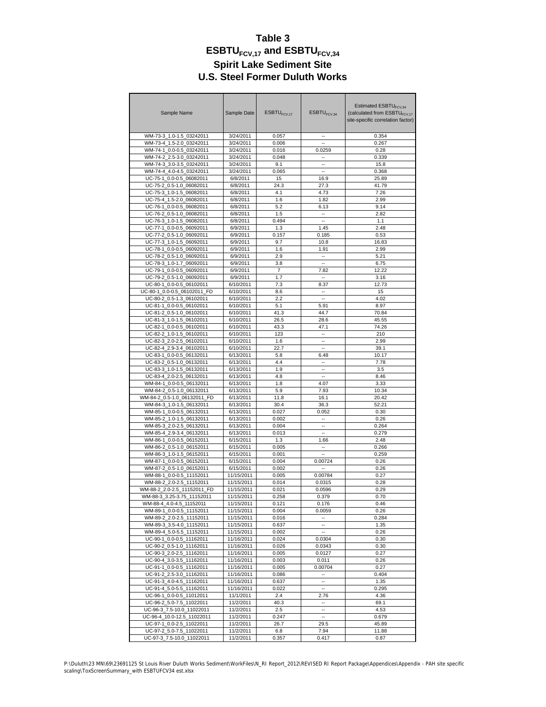| Sample Name                 | Sample Date | $ESBTU$ <sub>FCV 17</sub> | ESBTU <sub>FCV,34</sub> | Estimated ESBTU <sub>FCV34</sub><br>(calculated from ESBTU <sub>FCV.17</sub><br>site-specific correlation factor) |  |  |  |
|-----------------------------|-------------|---------------------------|-------------------------|-------------------------------------------------------------------------------------------------------------------|--|--|--|
| WM-73-3_1.0-1.5_03242011    | 3/24/2011   | 0.057                     |                         | 0.354                                                                                                             |  |  |  |
| WM-73-4 1.5-2.0 03242011    | 3/24/2011   | 0.006                     | ä.                      | 0.267                                                                                                             |  |  |  |
| WM-74-1 0.0-0.5 03242011    | 3/24/2011   | 0.016                     | 0.0259                  | 0.28                                                                                                              |  |  |  |
| WM-74-2 2.5-3.0 03242011    | 3/24/2011   | 0.048                     |                         | 0.339                                                                                                             |  |  |  |
| WM-74-3 3.0-3.5 03242011    | 3/24/2011   | 9.1                       | ÷.                      | 15.8                                                                                                              |  |  |  |
| WM-74-4 4.0-4.5 03242011    | 3/24/2011   | 0.065                     | ۰.                      | 0.368                                                                                                             |  |  |  |
| UC-75-1_0.0-0.5_06082011    | 6/8/2011    | 15                        |                         | 25.89                                                                                                             |  |  |  |
| UC-75-2 0.5-1.0 06082011    | 6/8/2011    | 24.3                      | 16.9                    | 41.79                                                                                                             |  |  |  |
| UC-75-3 1.0-1.5 06082011    |             |                           | 27.3                    |                                                                                                                   |  |  |  |
|                             | 6/8/2011    | 4.1                       | 4.73                    | 7.26                                                                                                              |  |  |  |
| UC-75-4 1.5-2.0 06082011    | 6/8/2011    | 1.6                       | 1.82                    | 2.99                                                                                                              |  |  |  |
| UC-76-1_0.0-0.5_06082011    | 6/8/2011    | 5.2                       | 6.13                    | 9.14                                                                                                              |  |  |  |
| UC-76-2 0.5-1.0 06082011    | 6/8/2011    | 1.5                       | ۰.                      | 2.82                                                                                                              |  |  |  |
| UC-76-3 1.0-1.5 06082011    | 6/8/2011    | 0.494                     | $\sim$                  | 1.1                                                                                                               |  |  |  |
| UC-77-1_0.0-0.5_06092011    | 6/9/2011    | 1.3                       | 1.45                    | 2.48                                                                                                              |  |  |  |
| UC-77-2 0.5-1.0 06092011    | 6/9/2011    | 0.157                     | 0.185                   | 0.53                                                                                                              |  |  |  |
| UC-77-3 1.0-1.5 06092011    | 6/9/2011    | 9.7                       | 10.8                    | 16.83                                                                                                             |  |  |  |
| UC-78-1 0.0-0.5 06092011    | 6/9/2011    | 1.6                       | 1.91                    | 2.99                                                                                                              |  |  |  |
| UC-78-2_0.5-1.0_06092011    | 6/9/2011    | 2.9                       | $\sim$                  | 5.21                                                                                                              |  |  |  |
| UC-78-3 1.0-1.7 06092011    | 6/9/2011    | 3.8                       | ä.                      | 6.75                                                                                                              |  |  |  |
| UC-79-1 0.0-0.5 06092011    | 6/9/2011    | $\overline{7}$            | 7.82                    | 12.22                                                                                                             |  |  |  |
| UC-79-2 0.5-1.0 06092011    | 6/9/2011    | 1.7                       | $\sim$                  | 3.16                                                                                                              |  |  |  |
| UC-80-1 0.0-0.5 06102011    | 6/10/2011   | 7.3                       | 8.37                    | 12.73                                                                                                             |  |  |  |
| UC-80-1 0.0-0.5 06102011 FD | 6/10/2011   | 8.6                       | $\overline{a}$          | 15                                                                                                                |  |  |  |
| UC-80-2 0.5-1.3 06102011    | 6/10/2011   | 2.2                       | ä.                      | 4.02                                                                                                              |  |  |  |
| UC-81-1_0.0-0.5_06102011    | 6/10/2011   | 5.1                       | 5.91                    | 8.97                                                                                                              |  |  |  |
| UC-81-2 0.5-1.0 06102011    | 6/10/2011   | 41.3                      | 44.7                    | 70.84                                                                                                             |  |  |  |
| UC-81-3 1.0-1.5 06102011    | 6/10/2011   | 26.5                      | 28.6                    | 45.55                                                                                                             |  |  |  |
| UC-82-1 0.0-0.5 06102011    | 6/10/2011   | 43.3                      | 47.1                    | 74.26                                                                                                             |  |  |  |
| UC-82-2 1.0-1.5 06102011    | 6/10/2011   | 123                       |                         | 210                                                                                                               |  |  |  |
| UC-82-3 2.0-2.5 06102011    | 6/10/2011   | 1.6                       | Ξ.                      | 2.99                                                                                                              |  |  |  |
| UC-82-4 2.9-3.4 06102011    | 6/10/2011   | 22.7                      | $\overline{a}$          | 39.1                                                                                                              |  |  |  |
| UC-83-1_0.0-0.5_06132011    | 6/13/2011   | 5.8                       | 6.48                    | 10.17                                                                                                             |  |  |  |
| UC-83-2 0.5-1.0 06132011    | 6/13/2011   | 4.4                       | $\overline{a}$          | 7.78                                                                                                              |  |  |  |
| UC-83-3 1.0-1.5 06132011    | 6/13/2011   | 1.9                       | ۰.                      | 3.5                                                                                                               |  |  |  |
| UC-83-4 2.0-2.5 06132011    | 6/13/2011   | 4.8                       | $\overline{a}$          | 8.46                                                                                                              |  |  |  |
| WM-84-1_0.0-0.5_06132011    | 6/13/2011   | 1.8                       | 4.07                    | 3.33                                                                                                              |  |  |  |
| WM-84-2 0.5-1.0 06132011    | 6/13/2011   | 5.9                       | 7.93                    | 10.34                                                                                                             |  |  |  |
| WM-84-2 0.5-1.0 06132011 FD |             | 11.8                      |                         |                                                                                                                   |  |  |  |
|                             | 6/13/2011   |                           | 16.1                    | 20.42                                                                                                             |  |  |  |
| WM-84-3_1.0-1.5_06132011    | 6/13/2011   | 30.4                      | 36.3                    | 52.21                                                                                                             |  |  |  |
| WM-85-1 0.0-0.5 06132011    | 6/13/2011   | 0.027                     | 0.052                   | 0.30                                                                                                              |  |  |  |
| WM-85-2 1.0-1.5 06132011    | 6/13/2011   | 0.002                     | ä.                      | 0.26                                                                                                              |  |  |  |
| WM-85-3_2.0-2.5_06132011    | 6/13/2011   | 0.004                     | ٠.                      | 0.264                                                                                                             |  |  |  |
| WM-85-4_2.9-3.4_06132011    | 6/13/2011   | 0.013                     |                         | 0.279                                                                                                             |  |  |  |
| WM-86-1 0.0-0.5 06152011    | 6/15/2011   | 1.3                       | 1.66                    | 2.48                                                                                                              |  |  |  |
| WM-86-2_0.5-1.0_06152011    | 6/15/2011   | 0.005                     | $\overline{a}$          | 0.266                                                                                                             |  |  |  |
| WM-86-3 1.0-1.5 06152011    | 6/15/2011   | 0.001                     |                         | 0.259                                                                                                             |  |  |  |
| WM-87-1_0.0-0.5_06152011    | 6/15/2011   | 0.004                     | 0.00724                 | 0.26                                                                                                              |  |  |  |
| WM-87-2 0.5-1.0 06152011    | 6/15/2011   | 0.002                     |                         | 0.26                                                                                                              |  |  |  |
| WM-88-1 0.0-0.5 11152011    | 11/15/2011  | 0.005                     | 0.00784                 | 0.27                                                                                                              |  |  |  |
| WM-88-2 2.0-2.5 11152011    | 11/15/2011  | 0.014                     | 0.0315                  | 0.28                                                                                                              |  |  |  |
| WM-88-2 2.0-2.5 11152011 FD | 11/15/2011  | 0.021                     | 0.0596                  | 0.29                                                                                                              |  |  |  |
| WM-88-3_3.25-3.75_11152011  | 11/15/2011  | 0.258                     | 0.379                   | 0.70                                                                                                              |  |  |  |
| WM-88-4_4.0-4.5_11152011    | 11/15/2011  | 0.121                     | 0.176                   | 0.46                                                                                                              |  |  |  |
| WM-89-1 0.0-0.5 11152011    | 11/15/2011  | 0.004                     | 0.0059                  | 0.26                                                                                                              |  |  |  |
| WM-89-2 2.0-2.5 11152011    | 11/15/2011  | 0.016                     |                         | 0.284                                                                                                             |  |  |  |
| WM-89-3 3.5-4.0 11152011    | 11/15/2011  | 0.637                     |                         | 1.35                                                                                                              |  |  |  |
| WM-89-4_5.0-5.5_11152011    | 11/15/2011  | 0.002                     |                         | 0.26                                                                                                              |  |  |  |
| UC-90-1_0.0-0.5_11162011    | 11/16/2011  | 0.024                     | 0.0304                  | 0.30                                                                                                              |  |  |  |
| UC-90-2_0.5-1.0_11162011    | 11/16/2011  | 0.026                     | 0.0343                  | 0.30                                                                                                              |  |  |  |
| UC-90-3_2.0-2.5_11162011    | 11/16/2011  | 0.005                     | 0.0127                  | 0.27                                                                                                              |  |  |  |
| UC-90-4_3.0-3.5_11162011    | 11/16/2011  | 0.003                     | 0.011                   | 0.26                                                                                                              |  |  |  |
| UC-91-1_0.0-0.5_11162011    | 11/16/2011  | 0.005                     | 0.00704                 | 0.27                                                                                                              |  |  |  |
| UC-91-2_2.5-3.0_11162011    | 11/16/2011  | 0.086                     | $\mathbf{u}$            | 0.404                                                                                                             |  |  |  |
| UC-91-3_4.0-4.5_11162011    | 11/16/2011  | 0.637                     | ۰.                      | 1.35                                                                                                              |  |  |  |
| UC-91-4_5.0-5.5_11162011    | 11/16/2011  | 0.022                     | ۰.                      | 0.295                                                                                                             |  |  |  |
| UC-96-1_0.0-0.5_11012011    | 11/1/2011   | 2.4                       | 2.76                    | 4.36                                                                                                              |  |  |  |
| UC-96-2_5.0-7.5_11022011    | 11/2/2011   | 40.3                      | ۰.                      | 69.1                                                                                                              |  |  |  |
| UC-96-3_7.5-10.0_11022011   | 11/2/2011   | 2.5                       |                         | 4.53                                                                                                              |  |  |  |
| UC-96-4_10.0-12.5_11022011  | 11/2/2011   | 0.247                     | --                      | 0.679                                                                                                             |  |  |  |
| UC-97-1_0.0-2.5_11022011    | 11/2/2011   | 26.7                      | 29.5                    | 45.89                                                                                                             |  |  |  |
| UC-97-2_5.0-7.5_11022011    | 11/2/2011   | 6.8                       | 7.94                    | 11.88                                                                                                             |  |  |  |
| UC-97-3_7.5-10.0_11022011   | 11/2/2011   | 0.357                     | 0.417                   | 0.87                                                                                                              |  |  |  |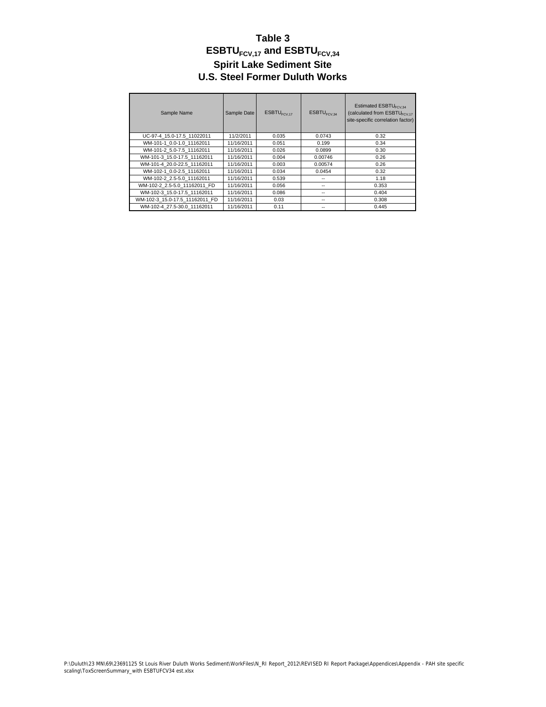| Sample Name                    | Sample Date | $ESBTU$ <sub>FCV 17</sub> | $ESBTU$ <sub>FCV 34</sub> | Estimated ESBTU <sub>FCV34</sub><br>(calculated from ESBTU <sub>FCV 17</sub><br>site-specific correlation factor) |
|--------------------------------|-------------|---------------------------|---------------------------|-------------------------------------------------------------------------------------------------------------------|
| UC-97-4 15.0-17.5 11022011     | 11/2/2011   | 0.035                     | 0.0743                    | 0.32                                                                                                              |
| WM-101-1 0.0-1.0 11162011      | 11/16/2011  | 0.051                     | 0.199                     | 0.34                                                                                                              |
| WM-101-2 5.0-7.5 11162011      | 11/16/2011  | 0.026                     | 0.0899                    | 0.30                                                                                                              |
| WM-101-3 15.0-17.5 11162011    | 11/16/2011  | 0.004                     | 0.00746                   | 0.26                                                                                                              |
| WM-101-4 20.0-22.5 11162011    | 11/16/2011  | 0.003                     | 0.00574                   | 0.26                                                                                                              |
| WM-102-1 0.0-2.5 11162011      | 11/16/2011  | 0.034                     | 0.0454                    | 0.32                                                                                                              |
| WM-102-2 2.5-5.0 11162011      | 11/16/2011  | 0.539                     | --                        | 1.18                                                                                                              |
| WM-102-2 2.5-5.0 11162011 FD   | 11/16/2011  | 0.056                     | --                        | 0.353                                                                                                             |
| WM-102-3 15.0-17.5 11162011    | 11/16/2011  | 0.086                     | $-$                       | 0.404                                                                                                             |
| WM-102-3 15.0-17.5 11162011 FD | 11/16/2011  | 0.03                      | --                        | 0.308                                                                                                             |
| WM-102-4 27.5-30.0 11162011    | 11/16/2011  | 0.11                      | --                        | 0.445                                                                                                             |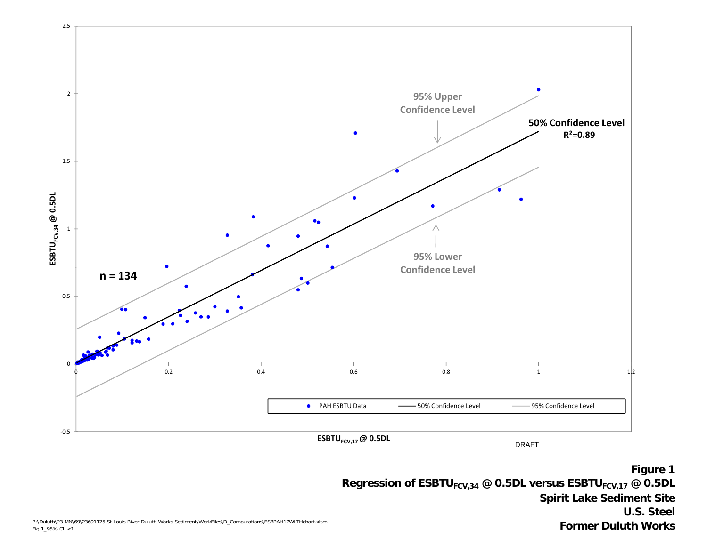

**Spirit Lake Sediment Site U.S. Steel Former Duluth Works**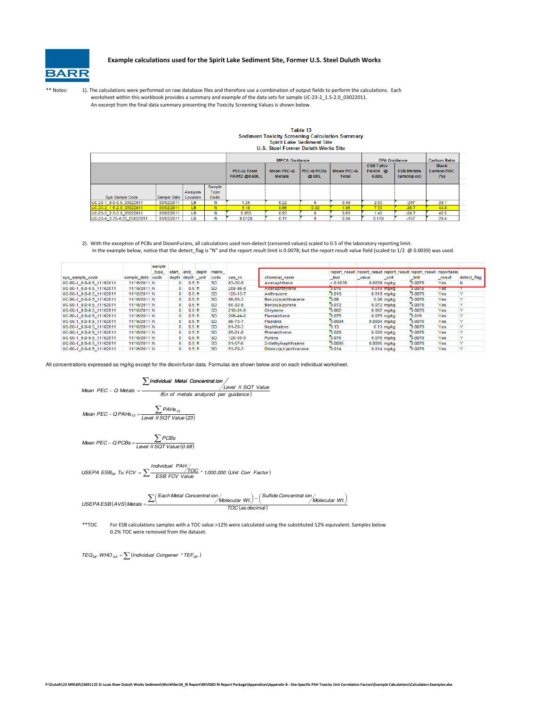

#### Example calculations used for the Spirit Lake Sediment Site, Former U.S. Steel Duluth Works

\*\* Notes: 1). The calculations were performed on raw database files and therefore use a combination of output fields to perform the calculations. Each worksheet within this workbook provides a summary and example of the data sets for sample UC-23-2\_1.5-2.0\_03022011. An excerpt from the final data summary presenting the Toxicity Screening Values is shown below.

## Table 13 Sediment Toxicity Screening Calculation Summary<br>Spirit Lake Sediment Site<br>U.S. Steel Former Duluth Works Site

|                            |             |          |        | <b>MPCA Guidance</b><br><b>PEC-Q PCBs</b><br><b>PEC-O Total</b><br><b>Mean PEC-Q</b><br>Mean PEC-Q<br>PAH13 @0.5DL<br><b>Metals</b><br>@ ODL<br><b>Total</b> |      |      |      | <b>EPA Guidance</b><br><b>ESB Tufcy</b><br>PAH34 @<br>0.5DL | <b>Carbon Ratio</b><br><b>Black</b><br>Carbon/TOC<br>(%) |      |
|----------------------------|-------------|----------|--------|--------------------------------------------------------------------------------------------------------------------------------------------------------------|------|------|------|-------------------------------------------------------------|----------------------------------------------------------|------|
|                            |             |          | Sample |                                                                                                                                                              |      |      |      |                                                             | (umol/g oc)                                              |      |
|                            |             | Analysis | Type   |                                                                                                                                                              |      |      |      |                                                             |                                                          |      |
| Sys Sample Code            | Sample Date | Location | Code   |                                                                                                                                                              |      |      |      |                                                             |                                                          |      |
| UC-23-1_0.0-0.5_03022011   | 03/02/2011  | LB.      | N      | 1.25                                                                                                                                                         | 0.22 |      | 0.49 | 2.03                                                        | $-247$                                                   | 29.1 |
| UC-23-2_1.5-2.0_03022011   | 03/02/2011  | LB.      | N      | 5.18                                                                                                                                                         | 0.66 | 0.02 | 1.95 | 7.33                                                        | $-26.7$                                                  | 44.8 |
| UC-23-3 2.5-3.0 03022011   | 03/02/2011  | LB       | N      | 0.953                                                                                                                                                        | 0.93 | 0    | 0.63 | 1.43                                                        | $-50.7$                                                  | 42.2 |
| UC-23-4 3.75-4.25 03022011 | 03/02/2011  | LВ       |        | 0.0128                                                                                                                                                       | 0.11 |      | 0.04 | 0.119                                                       | $-157$                                                   | 29.4 |

2). With the exception of PCBs and DioxinFurans, all calculations used non-detect (censored values) scaled to 0.5 of the laboratory reporting limit. In the example below, notice that the detect\_flag is "N" and the report result limit is 0.0078; but the report result value field (scaled to 1/2 @ 0.0039) was used.

|                          |                  | sample |                 |            |           |               |                             |          |                |                                                                    |        |            |              |
|--------------------------|------------------|--------|-----------------|------------|-----------|---------------|-----------------------------|----------|----------------|--------------------------------------------------------------------|--------|------------|--------------|
|                          |                  | _type_ | start end depth |            | matrix    |               |                             |          |                | report result report result report result report result reportable |        |            |              |
| sys sample code          | sample date code |        | depth           | depth unit | code      | cas m         | chemical name               | text     | value          | unit                                                               | limit  | result     | detect flag  |
| UC-90-1 0.0-0.5 11162011 | 11/16/2011 N     |        | 0               | $0.5$ ft   | <b>SD</b> | 83-32-9       | Acenaphthene                | < 0.0039 | $0.0039$ mg/kg |                                                                    | 0.0078 | Yes        |              |
| UC-90-1 0.0-0.5 11162011 | 11/16/2011 N     |        | $\mathbf{0}$    | $0.5$ ft   | <b>SD</b> | 208-96-8      | <b>Executation invicine</b> | 0.015    |                | <b>U.UT5 MO/KG</b>                                                 | 0.0078 | <b>Yes</b> |              |
| UC-90-1 0.0-0.5 11162011 | 11/16/2011 N     |        | $\Omega$        | $0.5$ ft   | <b>SD</b> | 120-12-7      | Anthracene                  | 0.018    |                | $0.018$ mg/kg                                                      | 0.0078 | Yes        |              |
| UC-90-1 0.0-0.5 11162011 | 11/16/2011 N     |        | $\mathbf{O}$    | $0.5$ ft   | <b>SD</b> | 56-55-3       | Benzo(a)anthracene          | 0.06     |                | $0.06$ mg/kg                                                       | 0.0078 | Yes        |              |
| UC-90-1 0.0-0.5 11162011 | 11/16/2011 N     |        | $\mathbf{0}$    | $0.5$ ft   | <b>SD</b> | 50-32-8       | Benzo(a)pyrene              | 0.072    |                | $0.072$ ma/ka                                                      | 0.0078 | Yes        |              |
| UC-90-1 0.0-0.5 11162011 | 11/16/2011 N     |        | $\Omega$        | $0.5$ ft   | <b>SD</b> | 218-01-9      | Chrysene                    | 0.062    |                | $0.062$ mg/kg                                                      | 0.0078 | Yes        |              |
| UC-90-1 0.0-0.5 11162011 | 11/16/2011 N     |        | $\mathbf{O}$    | $0.5$ ft   | <b>SD</b> | 206-44-0      | Fluoranthene                | 0.075    |                | $0.075$ mg/kg                                                      | 0.016  | Yes        |              |
| UC-90-1 0.0-0.5 11162011 | 11/16/2011 N     |        | $\mathbf{0}$    | $0.5$ ft   | <b>SD</b> | 86-73-7       | Fluorene                    | 0.0094   | $0.0094$ ma/ka |                                                                    | 0.0078 | Yes        |              |
| UC-90-1 0.0-0.5 11162011 | 11/16/2011 N     |        | $\Omega$        | $0.5$ ft   | <b>SD</b> | $91 - 20 - 3$ | Naphthalene                 | 0.13     |                | $0.13$ mg/kg                                                       | 0.0078 | Yes        |              |
| UC-90-1 0.0-0.5 11162011 | 11/16/2011 N     |        | $\mathbf{a}$    | $0.5$ ft   | <b>SD</b> | 85-01-8       | Phenanthrene                | 0.028    |                | $0.028$ ma/kg                                                      | 0.0078 | Yes        |              |
| UC-90-1 0.0-0.5 11162011 | 11/16/2011 N     |        | $\mathbf{0}$    | $0.5$ ft   | <b>SD</b> | 129-00-0      | Pyrene                      | 0.076    |                | $0.076$ mg/kg                                                      | 0.0078 | Yes        | $\checkmark$ |
| UC-90-1 0.0-0.5 11162011 | 11/16/2011 N     |        | $\mathbf{0}$    | $0.5$ ft   | <b>SD</b> | 91-57-6       | 2-Methylnaphthalene         | 0.0095   | $0.0095$ mg/kg |                                                                    | 0.0078 | Yes        |              |
| UC-90-1 0.0-0.5 11162011 | 11/16/2011 N     |        | $\mathbf{0}$    | $0.5$ ft   | SD.       | 53-70-3       | Dibenz(a,h)anthracene       | 0.014    |                | $0.014$ ma/ka                                                      | 0.0078 | Yes        |              |

All concentrations expressed as mg/kg except for the dioxin/furan data. Formulas are shown below and on each individual worksheet.

∑Individual Metal Concentrat ion

 $\frac{\sum$  Individual Metal Concentration /<br>Mean PEC – Q Metals =  $\frac{\left(\frac{\partial T}{\partial t}\right)^{1}}{8(n \text{ of metals analyzed per guidance})}$  $-Q$  Metals =

 $\emph{Mean PEC}-Q\emph{PAHs}_{13} = \frac{\sum \emph{PAHs}_{13}}{\text{Level IISQT Value (23)}}$ 

 $Mean\ PEC-QPCBs = \frac{\sum PCBs}{Level\ IISQT\ Value(0.68)}$ 

 $\begin{aligned} \textit{USEPA} \ \textit{ESB}_{34} \ \ \textit{Tu} \ \ \textit{FCV} = \sum \frac{\textit{Individual} \ \ \textit{PAH/S}}{\textit{ESB} \ \ \textit{FCV} \ \ \textit{Value}} \ \ \ \textit{1,000,000} \ \ \textit{(Unit Cor Factor)} \end{aligned}$ 

X (Each Metal Concentrat ion / Molecular Wt.)− ( Sulfide Concentrat ion / Molecular Wt<br>TOC (as decimal)  $\text{USEPAES}(AVS) \text{Meta/s} = \frac{\sum (\text{Each Metal Concentrat ion} / \text{Molecular Wt.}) - (Sultide Concentrat ion} / \text{Molecular Wt.})}{\sum_{\text{TOS}} (N_{\text{A}} + N_{\text{A}})}$  $-\frac{\sum ($  Molecular Wt.)  $\frac{1}{2}$  /Molecular Wt.

\*\*TOC For ESB calculations samples with a TOC value >12% were calculated using the substituted 12% equivalent. Samples below 0.2% TOC were removed from the dataset.

 $TEQ_{DF}$  WHO<sub>XX</sub> =  $\sum$  (Individual Congener \*  $TEF_{DF}$ )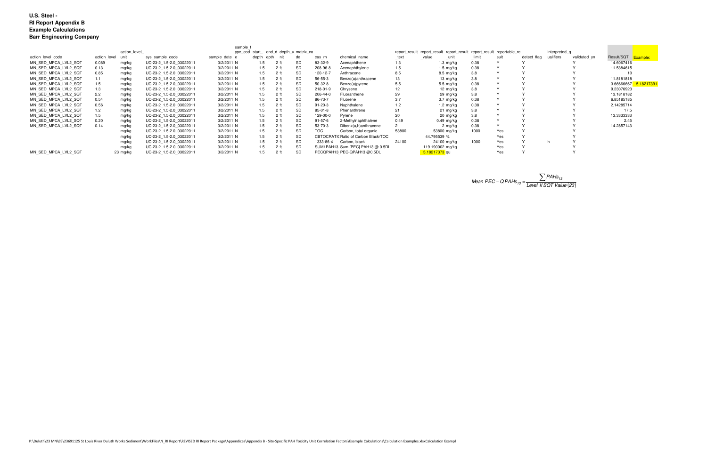|                      |                   |                                        |                          | sample 1      |       |                 |                                                                       |            |                                      |       |                     |               |      |             |           |              |                        |
|----------------------|-------------------|----------------------------------------|--------------------------|---------------|-------|-----------------|-----------------------------------------------------------------------|------------|--------------------------------------|-------|---------------------|---------------|------|-------------|-----------|--------------|------------------------|
|                      |                   | ype_cod start_ end_d depth_u matrix co |                          |               |       |                 | report result report result report result report result reportable re |            |                                      |       |                     | interpreted q |      |             |           |              |                        |
| action level code    | action level unit |                                        | sys sample code          | sample date e | depth | epth<br>nit     | de                                                                    | cas rn     | chemical name                        | _text | value<br>$\_$ unit  | limit         | sult | detect flag | ualifiers | validated yn | Result/SQT Example:    |
| MN SED MPCA LVL2 SQT | 0.089             | mg/kg                                  | UC-23-2 1.5-2.0 03022011 | 3/2/2011 N    | 1.5   | 2 ft            |                                                                       | 83-32-9    | Acenaphthene                         | 1.3   | 1.3 mg/kg           | 0.38          |      |             |           |              | 14.6067416             |
| MN SED MPCA LVL2 SQT | 0.13              | mg/kg                                  | UC-23-2 1.5-2.0 03022011 | 3/2/2011 N    | 1.5   | 2 <sub>ft</sub> | <b>SD</b>                                                             | 208-96-8   | Acenaphthylene                       | 1.5   | $1.5 \text{ mg/kg}$ | 0.38          |      |             |           |              | 11.5384615             |
| MN SED MPCA LVL2 SQT | 0.85              | mg/kg                                  | UC-23-2 1.5-2.0 03022011 | 3/2/2011 N    | 1.5   | 2 <sub>ft</sub> | SD                                                                    | 120-12-7   | Anthracene                           | 8.5   | 8.5 mg/kg           | 3.8           |      |             |           |              |                        |
| MN SED MPCA LVL2 SQT | 1.1               | mg/kg                                  | UC-23-2 1.5-2.0 03022011 | 3/2/2011 N    | 1.5   | 2 <sub>ft</sub> | SD                                                                    | 56-55-3    | Benzo(a)anthracene                   | 13    | 13 $mg/kg$          | 3.8           |      |             |           |              | 11.8181818             |
| MN SED MPCA LVL2 SQT | 1.5               | mg/kg                                  | UC-23-2 1.5-2.0 03022011 | 3/2/2011 N    | 1.5   | 2 <sub>ft</sub> |                                                                       | 50-32-8    | Benzo(a)pyrene                       | 5.5   | 5.5 mg/kg           | 0.38          |      |             |           |              | 3.66666667<br>18217391 |
| MN SED MPCA LVL2 SQT | 1.3               | mg/kg                                  | UC-23-2 1.5-2.0 03022011 | 3/2/2011 N    | 1.5   | 2 <sub>th</sub> | <b>SD</b>                                                             | 218-01-9   | Chrysene                             |       | 12 mg/kg            | 3.8           |      |             |           |              | 9.23076923             |
| MN SED MPCA LVL2 SQT | 2.2               | mg/kg                                  | UC-23-2 1.5-2.0 03022011 | 3/2/2011 N    | 1.5   | 2 <sub>ft</sub> | SD                                                                    | 206-44-0   | Fluoranthene                         | 29    | 29 mg/kg            | 3.8           |      |             |           |              | 13.1818182             |
| MN SED MPCA LVL2 SQT | 0.54              | mg/kg                                  | UC-23-2 1.5-2.0 03022011 | 3/2/2011 N    | 1.5   | 2 <sub>ft</sub> |                                                                       | 86-73-7    | Fluorene                             | 3.7   | $3.7 \text{ mg/kg}$ | 0.38          |      |             |           |              | 6.85185185             |
| MN SED MPCA LVL2 SQT | 0.56              | mg/kg                                  | UC-23-2 1.5-2.0 03022011 | 3/2/2011 N    | 1.5   | 2 ft            | SD                                                                    | 91-20-3    | Naphthalene                          | 1.2   | 1.2 $mg/kg$         | 0.38          |      |             |           |              | 2.14285714             |
| MN SED MPCA LVL2 SQT | 1.2               | mg/kg                                  | UC-23-2 1.5-2.0 03022011 | 3/2/2011 N    | 1.5   | 2 f             | <b>SD</b>                                                             | 85-01-8    | Phenanthrene                         | 21    | 21 mg/kg            | 3.8           |      |             |           |              | 17.5                   |
| MN SED MPCA LVL2 SQT | 1.5               | mg/kg                                  | UC-23-2 1.5-2.0 03022011 | 3/2/2011 N    | 1.5   | 2 ft            | SD                                                                    | 129-00-0   | Pyrene                               | 20    | 20 mg/kg            | 3.8           |      |             |           |              | 13.3333333             |
| MN SED MPCA LVL2 SQT | 0.20              | mg/kg                                  | UC-23-2 1.5-2.0 03022011 | 3/2/2011 N    | 1.5   | 2 <sub>ft</sub> |                                                                       | 91-57-6    | 2-Methylnaphthalene                  | 0.49  | $0.49$ mg/kg        | 0.38          |      |             |           |              | 2.45                   |
| MN SED MPCA LVL2 SQT | 0.14              | mg/kg                                  | UC-23-2 1.5-2.0 03022011 | 3/2/2011 N    | 1.5   | 2 <sub>ft</sub> |                                                                       | 53-70-3    | Dibenz(a,h)anthracene                |       | 2 mg/kg             | 0.38          |      |             |           |              | 14.2857143             |
|                      |                   | mg/kg                                  | UC-23-2 1.5-2.0 03022011 | 3/2/2011 N    | 1.5   | 2 <sub>ft</sub> | <b>SD</b>                                                             | <b>TOC</b> | Carbon, total organic                | 53800 | 53800 mg/kg         | 1000          | Yes  |             |           |              |                        |
|                      |                   | mg/kg                                  | UC-23-2 1.5-2.0 03022011 | 3/2/2011 N    | 1.5   | 2 <sub>ft</sub> | <b>SD</b>                                                             |            | CBTOCRATIC Ratio of Carbon Black/TOC |       | 44.795539 %         |               | Yes  |             |           |              |                        |
|                      |                   | mg/kg                                  | UC-23-2 1.5-2.0 03022011 | 3/2/2011 N    | 1.5   | 2 <sub>ft</sub> | <b>SD</b>                                                             | 1333-86-4  | Carbon, black                        | 24100 | 24100 mg/kg         | 1000          | Yes  |             |           |              |                        |
|                      |                   | mg/kg                                  | UC-23-2 1.5-2.0 03022011 | 3/2/2011 N    | 1.5   | 2 f             | <b>SD</b>                                                             |            | SUM1PAH13 Sum [PEC] PAH13 @ 0.5DL    |       | 119.190002 mg/kg    |               | Yes  |             |           |              |                        |
| MN SED MPCA LVL2 SQT |                   | $23 \,$ mg/kg                          | UC-23-2 1.5-2.0 03022011 | 3/2/2011 N    |       | 2 <sub>ft</sub> | <b>SD</b>                                                             |            | PECQPAH13 PEC-QPAH13 @0.5DL          |       | 5.18217373 qu       |               | Yes  |             |           |              |                        |

Mean PEC – QPAHs<sub>13</sub> = 
$$
\frac{\sum PAHs_{13}}{\text{Level IISQT Value (23)}}
$$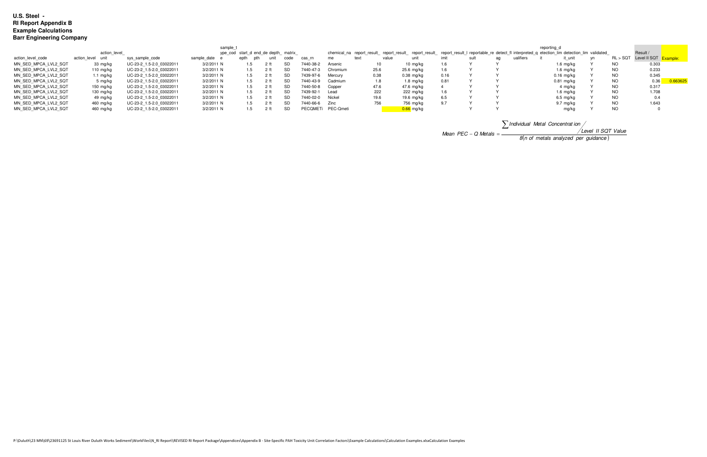|                      | sample t            |                          |                                     |             |                |           |           |                    |               |                     |      |                                                                                                                                                      | reporting d |           |                     |    |           |                                |         |
|----------------------|---------------------|--------------------------|-------------------------------------|-------------|----------------|-----------|-----------|--------------------|---------------|---------------------|------|------------------------------------------------------------------------------------------------------------------------------------------------------|-------------|-----------|---------------------|----|-----------|--------------------------------|---------|
|                      | action level        |                          | ype cod start d end de depth matrix |             |                |           |           |                    |               |                     |      | chemical_na report_result_ report_result_ report_result_ report_result_l reportable_re detect_fl interpreted_q etection_lim detection_lim validated_ |             |           |                     |    |           | Result /                       |         |
| action level code    | action level unit   | sys sample code          | sample date                         | epth<br>pth | unit           | code      | cas rn    |                    | value<br>text | uni                 |      |                                                                                                                                                      | aα          | ualifiers | it unit             | vn |           | RL > SQT Level II SQT Example: |         |
| MN SED MPCA LVL2 SQT | 33 mg/kg            | UC-23-2 1.5-2.0 03022011 | 3/2/2011 N                          |             |                | SD        | 7440-38-2 | Arsenic            |               | 10 mg/kg            | 1.6  |                                                                                                                                                      |             |           | 1.6 mg/kg           |    | NO        | 0.303                          |         |
| MN SED MPCA LVL2 SQT | 110 $mq/kg$         | UC-23-2 1.5-2.0 03022011 | 3/2/2011 N                          | 1.5         |                |           | 7440-47   | Chromium           | 25.6          | 25.6 mg/kg          | 1.6  |                                                                                                                                                      |             |           | 1.6 mg/kg           |    | NC        | 0.233                          |         |
| MN SED MPCA LVL2 SQT | 1.1 mg/kg           | UC-23-2 1.5-2.0 03022011 | 3/2/2011 N                          | 1.5         | 2 ft           | SD        | 7439-97-6 | Mercury            | 0.38          | $0.38$ mg/kg        | 0.16 |                                                                                                                                                      |             |           | 0.16 mg/kg          |    | NC.       | 0.345                          |         |
| MN SED MPCA LVL2 SQT | 5 mg/ka             | UC-23-2 1.5-2.0 03022011 | 3/2/2011 N                          |             | 2 <sub>f</sub> | SD        | 7440-43-9 | Cadmium            | 1.8           | 1.8 mg/kg           | 0.81 |                                                                                                                                                      |             |           | 0.81 mg/kg          |    | NO        | 0.36                           | 0.66362 |
| MN SED MPCA LVL2 SQT | 150 mg/kg           | UC-23-2 1.5-2.0 03022011 | 3/2/2011 N                          |             | 2 ft           | <b>SD</b> | 7440-50-8 | Copper             | 47.6          | 47.6 mg/kg          |      |                                                                                                                                                      |             |           | 4 mg/ka             |    | <b>NO</b> | 0.317                          |         |
| MN SED MPCA LVL2 SQT | $130 \text{ mg/kg}$ | UC-23-2 1.5-2.0 03022011 | 3/2/2011 N                          |             | 2 ft           | <b>SD</b> | 7439-92-1 | Lead               | 222           | $222 \text{ mq/kg}$ | 1.6  |                                                                                                                                                      |             |           | $1.6 \text{ mg/kg}$ |    | <b>NO</b> | 1.708                          |         |
| MN SED MPCA LVL2 SQT | 49 mg/kg            | UC-23-2 1.5-2.0 03022011 | 3/2/2011 N                          |             |                | <b>SD</b> | 7440-02-0 | Nickel             | 19.6          | 19.6 mg/kg          | 6.5  |                                                                                                                                                      |             |           | 6.5 mg/kg           |    | <b>NO</b> |                                |         |
| MN SED MPCA LVL2 SQT | 460 mg/kg           | UC-23-2 1.5-2.0 03022011 | 3/2/2011 N                          |             |                | <b>SD</b> | 7440-66-6 | Zinc               | 756           | 756 mg/kg           | 9.7  |                                                                                                                                                      |             |           | 9.7 mg/kg           |    | NO.       | 1.643                          |         |
| MN SED MPCA LVL2 SQT | 460 mg/kg           | UC-23-2 1.5-2.0 03022011 | 3/2/2011 N                          |             |                | SD        |           | PECQMETi PEC-Qmeti |               | 0.66 mg/kg          |      |                                                                                                                                                      |             |           | mg/kg               |    | <b>NO</b> |                                |         |

Mean  $PEC - Q$  Metals  $=$ 

| $\sum$ Individual Metal Concentration /        |                    |
|------------------------------------------------|--------------------|
|                                                | Level II SQT Value |
| $8(n \text{ of metals analyzed per guidance})$ |                    |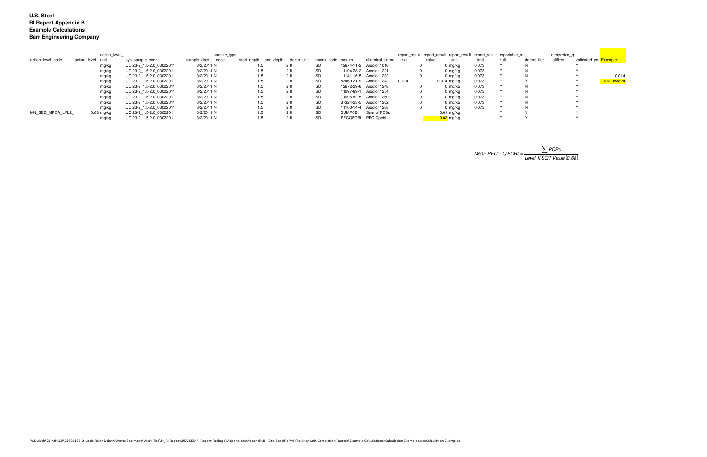|                   |                   | action level |                          | sample_type       |                       |                 |                    |        |                         |       |       | report result report result report result report result reportable re |       |      |                       | interpreted q |                       |            |
|-------------------|-------------------|--------------|--------------------------|-------------------|-----------------------|-----------------|--------------------|--------|-------------------------|-------|-------|-----------------------------------------------------------------------|-------|------|-----------------------|---------------|-----------------------|------------|
| action level code | action_level unit |              | sys sample code          | sample_date _code | start depth end depth | depth unit      | matrix code cas rn |        | chemical name text      |       | value |                                                                       | limit | sult | detect flag ualifiers |               | validated_yn Example: |            |
|                   |                   | mg/kg        | UC-23-2 1.5-2.0 03022011 | 3/2/2011 N        |                       | 2 ft            | SD.                |        | 12674-11-2 Aroclor 1016 |       |       | 0 mg/kg                                                               | 0.073 |      | N                     |               |                       |            |
|                   |                   | mg/kg        | UC-23-2 1.5-2.0 03022011 | 3/2/2011 N        | 1.5                   | 2 ft            | SD                 |        | 11104-28-2 Aroclor 1221 |       |       | 0 mg/ka                                                               | 0.073 |      | N.                    |               |                       |            |
|                   |                   | mg/kg        | UC-23-2 1.5-2.0 03022011 | 3/2/2011 N        |                       | 2 <sub>ft</sub> | SD                 |        | 11141-16-5 Aroclor 1232 |       |       | 0 mg/kg                                                               | 0.073 |      | N                     |               |                       | 0.014      |
|                   |                   | mg/kg        | UC-23-2 1.5-2.0 03022011 | 3/2/2011 N        |                       | 2 <sub>ft</sub> | SD                 |        | 53469-21-9 Aroclor 1242 | 0.014 |       | $0.014$ mg/kg                                                         | 0.073 |      |                       |               |                       | 0.02058824 |
|                   |                   | mg/kg        | UC-23-2 1.5-2.0 03022011 | 3/2/2011 N        |                       | 2 <sub>ft</sub> | SD                 |        | 12672-29-6 Aroclor 1248 |       |       | 0 mg/kg                                                               | 0.073 |      | N                     |               |                       |            |
|                   |                   | mg/kg        | UC-23-2 1.5-2.0 03022011 | 3/2/2011 N        |                       | 2 <sub>ft</sub> | SD                 |        | 11097-69-1 Aroclor 1254 |       |       | 0 mg/kg                                                               | 0.073 |      | N                     |               |                       |            |
|                   |                   | mg/kg        | UC-23-2 1.5-2.0 03022011 | 3/2/2011 N        |                       | 2 <sub>ft</sub> | <b>SD</b>          |        | 11096-82-5 Aroclor 1260 |       |       | 0 ma/ka                                                               | 0.073 |      | N.                    |               |                       |            |
|                   |                   | mg/kg        | UC-23-2 1.5-2.0 03022011 | 3/2/2011 N        |                       | 2 <sub>ft</sub> | SD                 |        | 37324-23-5 Aroclor 1262 |       |       | 0 mg/kg                                                               | 0.073 |      | N                     |               |                       |            |
|                   |                   | mg/kg        | UC-23-2 1.5-2.0 03022011 | 3/2/2011 N        |                       | 2 <sub>ft</sub> | SD                 |        | 11100-14-4 Aroclor 1268 |       |       | 0 mg/kg                                                               | 0.073 |      | N.                    |               |                       |            |
| MN SED MPCA LVL2  |                   | $0.68$ mg/kg | UC-23-2 1.5-2.0 03022011 | 3/2/2011 N        |                       | 2 <sub>ft</sub> | <b>SD</b>          | SUMPCB | Sum of PCBs             |       |       | 0.01 mg/kg                                                            |       |      |                       |               |                       |            |
|                   |                   | mg/kg        | UC-23-2 1.5-2.0 03022011 | 3/2/2011 N        |                       | 2 ft            | SD                 |        | PECQPCBi PEC-Qpcbi      |       |       | $0.02$ mg/kg                                                          |       |      |                       |               |                       |            |

Mean PEC – QPCBs = 
$$
\frac{\sum PCBs}{Level \text{ IISQT Value} (0.68)}
$$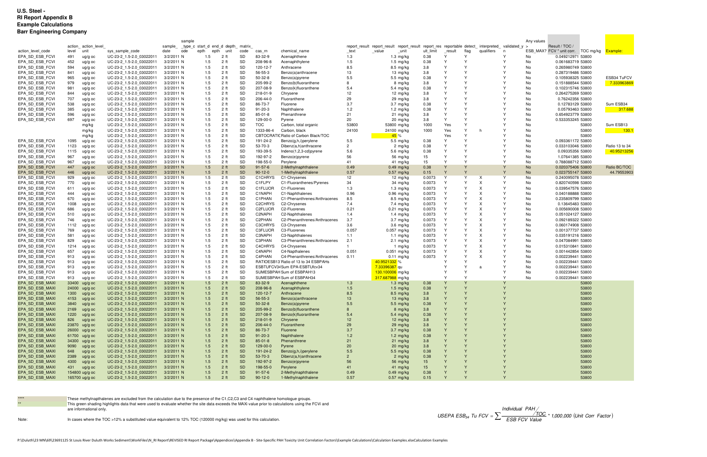|                                    |                 |                     |                                                      | sample                   |                                   |                                    |           |                      |                                                                       |                |                                                                        |           |                              |                              |                         | Any values |                                              |                |
|------------------------------------|-----------------|---------------------|------------------------------------------------------|--------------------------|-----------------------------------|------------------------------------|-----------|----------------------|-----------------------------------------------------------------------|----------------|------------------------------------------------------------------------|-----------|------------------------------|------------------------------|-------------------------|------------|----------------------------------------------|----------------|
|                                    |                 | action_action_level |                                                      | sample                   | type c start d end d depth matrix |                                    |           |                      |                                                                       |                | report result report result report result report res reportable detect |           |                              |                              | interpreted validated y |            | Result / TOC /                               |                |
| action level code                  | level           | unit                | sys_sample_code                                      | date<br>ode              | epth<br>epth                      | unit                               | code      | cas rn               | chemical name                                                         | _text          | unit<br>value                                                          | ult limit | result                       | flag                         | qualifiers<br>n         |            | ESB MAX? FCV * unit corr. TOC mg/kg Example: |                |
| EPA SD ESB FCVI                    | 491             | ug/g oc             | UC-23-2 1.5-2.0 03022011                             | 3/2/2011 N               | 1.5                               | 2 ft                               | SD        | 83-32-9              | Acenaphthene                                                          | 1.3            | $1.3 \text{ mg/kg}$                                                    | 0.38      | $\mathsf{v}$                 | Y                            |                         | No         | 0.049212971 53800                            |                |
| EPA SD ESB FCVI                    | 452             | ug/g oc             | UC-23-2 1.5-2.0 03022011                             | 3/2/2011 N               | 1.5                               | 2 ft                               | SD        | 208-96-8             | Acenaphthylene                                                        | 1.5            | 1.5 mg/kg                                                              | 0.38      | $\mathsf{v}$                 | $\vee$                       | N                       | No         | 0.061683719 53800                            |                |
| EPA SD ESB FCVI                    | 594             | ug/g oc             | UC-23-2 1.5-2.0 03022011                             | 3/2/2011 N               | 1.5                               | 2 ft                               | SD        | 120-12-7             | Anthracene                                                            | 8.5            | $8.5 \,$ mg/kg                                                         | 3.8       | $\mathsf{v}$                 | $\vee$                       |                         | No         | 0.265980749 53800                            |                |
| EPA SD ESB FCVI                    | 841             | ug/g oc             | UC-23-2 1.5-2.0 03022011                             | 3/2/2011 N               | 1.5                               | 2 ft                               | SD        | 56-55-3              | Benzo(a)anthracene                                                    | 13             | 13 mg/kg                                                               | 3.8       | $\mathsf{Y}$                 | $\vee$                       | Y                       | No         | 0.287319486 53800                            |                |
| EPA SD ESB FCVI                    | 965             | ug/g oc             | UC-23-2 1.5-2.0 03022011                             | 3/2/2011 N               | 1.5                               | 2 <sub>ft</sub>                    | SD        | $50-32-8$            | Benzo(a)pyrene                                                        | 5.5            | 5.5 mg/kg                                                              | 0.38      | $\mathsf{Y}$                 | $\mathsf{v}$                 | Y                       | No         | 0.105938325 53800                            | ESB34 TuFCV    |
| EPA SD ESB FCVI                    | 979             | ug/g oc             | UC-23-2 1.5-2.0 03022011                             | 3/2/2011 N               | 1.5                               | 2 <sub>ft</sub>                    | SD        | 205-99-2             | Benzo(b)fluoranthene                                                  |                | 8 mg/kg                                                                | 3.8       | $\mathsf{Y}$                 | $\mathsf{v}$                 | Y                       | No         | 0.151888544 53800                            | 7.333963869    |
| EPA SD ESB FCVI                    | 981             | ug/g oc             | UC-23-2 1.5-2.0 03022011                             | 3/2/2011 N               | 1.5                               | 2 <sub>ft</sub>                    | SD        | 207-08-9             | Benzo(k)fluoranthene                                                  | 5.4            | 5.4 mg/kg                                                              | 0.38      | $\mathsf{Y}$                 | $\mathsf{v}$                 | Y                       | No         | 0.102315746 53800                            |                |
| EPA SD ESB FCVI                    | 844             | ug/g oc             | UC-23-2 1.5-2.0 03022011                             | 3/2/2011 N               | 1.5                               | 2 <sub>ft</sub>                    | SD        | 218-01-9             | Chrysene                                                              | 12             | 12 mg/kg                                                               | 3.8       | $\mathsf{Y}$                 | $\mathsf{v}$                 | Y                       | No         | 0.264275269 53800                            |                |
| EPA SD ESB FCVI                    | 707             | ug/g oc             | UC-23-2 1.5-2.0 03022011                             | 3/2/2011 N               | 1.5                               | 2 <sub>ft</sub>                    | SD        | 206-44-0             | Fluoranthene                                                          | 29             | 29 mg/kg                                                               | 3.8       | $\mathsf{Y}$                 | $\mathsf{v}$                 | Y                       | No         | 0.76242356 53800                             |                |
| EPA_SD_ESB_FCVI                    | 538             | ug/g oc             | UC-23-2 1.5-2.0 03022011                             | 3/2/2011 N               | 1.5                               | 2 <sub>ft</sub>                    | SD        | 86-73-7              | Fluorene                                                              | 3.7            | $3.7 \, \text{mg/kg}$                                                  | 0.38      | $\mathsf{Y}$                 | $\vee$                       | Y                       | No         | 0.12783129 53800                             | Sum ESB34      |
| EPA SD ESB FCVI                    | 385             | ug/g oc             | UC-23-2 1.5-2.0 03022011                             | 3/2/2011 N               | 1.5                               | 2 <sub>ft</sub>                    | SD        | 91-20-3              | Naphthalene                                                           | 1.2            | 1.2 mg/kg                                                              | 0.38      | $\mathsf{Y}$<br>$\mathsf{Y}$ | $\mathsf{v}$<br>$\vee$       | Y<br><sup>Y</sup>       | No         | 0.05793463 53800                             | 317.688        |
| EPA SD ESB FCVI                    | 596             | ug/g oc             | UC-23-2 1.5-2.0 03022011                             | 3/2/2011 N               | 1.5                               | 2 <sub>ft</sub>                    | SD        | $85 - 01 - 8$        | Phenanthrene                                                          | 21             | $21 \, \text{mg/kg}$                                                   | 3.8       | $\mathsf{Y}$                 | $\vee$                       | $\mathsf{v}$            | No         | 0.654923779 53800                            |                |
| EPA SD ESB FCVI                    | 697             | ug/g oc             | UC-23-2 1.5-2.0 03022011                             | 3/2/2011 N               | 1.5                               | 2 <sub>ft</sub>                    | SD<br>SD  | 129-00-0             | Pyrene                                                                | 20             | 20 mg/kg                                                               | 3.8       | Yes                          | $\vee$                       | <sup>Y</sup>            | No         | 0.533353245 53800                            |                |
|                                    |                 | mg/kg               | UC-23-2_1.5-2.0_03022011                             | 3/2/2011 N               | 1.5                               | 2 <sub>ft</sub>                    | SD        | <b>TOC</b>           | Carbon, total organic                                                 | 53800          | 53800 mg/kg                                                            | 1000      |                              | $\mathsf{v}$                 | $\mathsf{v}$            | No         | 53800                                        | Sum ESB13      |
|                                    |                 | mg/kg               | UC-23-2 1.5-2.0 03022011                             | 3/2/2011 N               | 1.5<br>1.5                        | 2 <sub>ft</sub><br>2 <sub>ft</sub> | SD        | 1333-86-4            | Carbon, black<br>CBTOCRATIC Ratio of Carbon Black/TOC                 | 24100          | 24100 mg/kg                                                            | 1000      | Yes<br>Yes                   | $\vee$                       | <sup>V</sup>            | No<br>No   | 53800<br>53800                               | 130.1          |
| EPA SD ESB FCV                     |                 | mg/kg               | UC-23-2 1.5-2.0 03022011                             | 3/2/2011 N<br>3/2/2011 N | 1.5                               | 2 <sub>ft</sub>                    | SD        | 191-24-2             |                                                                       | 5.5            | 45%                                                                    | 0.38      | $\vee$                       | $\vee$                       | $\checkmark$            | No         | 0.093361172 53800                            |                |
| EPA SD ESB FCVI                    | 1095<br>1123    | ug/g oc             | UC-23-2 1.5-2.0 03022011<br>UC-23-2 1.5-2.0 03022011 | 3/2/2011 N               | 1.5                               | 2 <sub>ft</sub>                    | SD        | 53-70-3              | Benzo(g,h,i)perylene<br>Dibenz(a,h)anthracene                         | $\mathcal{P}$  | 5.5 $mg/kg$                                                            | 0.38      | $\vee$                       | $\vee$                       |                         | No         | 0.033103046 53800                            | Ratio 13 to 34 |
| EPA SD ESB FCVI                    | 1115            | ug/g oc<br>ug/g oc  | UC-23-2 1.5-2.0 03022011                             | 3/2/2011 N               | 1.5                               | 2 <sub>ft</sub>                    | SD        | 193-39-5             | Indeno(1,2,3-cd)pyrene                                                | 5.6            | 2 mg/kg<br>5.6 mg/kg                                                   | 0.38      | $\vee$                       | $\vee$                       |                         | No         | 0.09335356 53800                             | 40.95213256    |
| EPA SD ESB FCVI                    | 967             | ug/g oc             | UC-23-2 1.5-2.0 03022011                             | 3/2/2011 N               | 1.5                               | 2 <sub>ft</sub>                    | SD        | 192-97-2             | Benzo(e)pyrene                                                        | 56             | 56 mg/kg                                                               | 15        | $\vee$                       | $\mathsf{v}$                 |                         | No         | 1.07641385 53800                             |                |
| EPA SD ESB FCVI                    | 967             | ug/g oc             | UC-23-2 1.5-2.0 03022011                             | 3/2/2011 N               | 1.5                               | 2 <sub>ft</sub>                    | SD        | 198-55-0             | Perylene                                                              | 41             | 41 mg/kg                                                               | 15        | $\vee$                       | $\vee$                       |                         | No         | 0.788088712 53800                            |                |
| EPA SD ESB FCVI                    | 447             | $ug/g$ oc           | UC-23-2 1.5-2.0 03022011                             | 3/2/2011 N               | 1.5                               | 2 <sub>ft</sub>                    | <b>SD</b> | $91 - 57 - 6$        | 2-Methylnaphthalene                                                   | 0.49           | $0.49$ mg/kg                                                           | 0.38      |                              |                              |                         | <b>No</b>  | 0.020375406 53800                            | Ratio BC/TOC   |
| EPA SD ESB FCVI                    | 446             | ug/g oc             | UC-23-2 1.5-2.0 03022011                             | 3/2/2011 N               | 1.5                               | 2 <sub>ft</sub>                    | <b>SD</b> | $90 - 12 - 0$        | 1-Methylnaphthalene                                                   | 0.57           | $0.57$ mg/kg                                                           | 0.15      |                              |                              |                         | <b>No</b>  | 0.023755147 53800                            | 44.79553903    |
| EPA_SD_ESB_FCVI                    | 929             | ug/g oc             | UC-23-2_1.5-2.0_03022011                             | 3/2/2011 N               | 1.5                               | 2 <sub>ft</sub>                    | SD        | C1CHRYS              | C1-Chrysenes                                                          | 12             | 12 mg/kg                                                               | 0.0073    | Y                            | Y                            | Y<br>X                  | No         | 0.240095078 53800                            |                |
| EPA SD ESB FCVI                    | 770             | ug/g oc             | UC-23-2 1.5-2.0 03022011                             | 3/2/2011 N               | 1.5                               | 2 <sub>ft</sub>                    | SD        | C1FLPY               | C1-Fluoranthenes/Pyrenes                                              | 34             | 34 mg/kg                                                               | 0.0073    | $\mathsf{Y}$                 | $\vee$                       | Y                       | No         | 0.820740598 53800                            |                |
| EPA SD ESB FCVI                    | 611             | ug/g oc             | UC-23-2 1.5-2.0 03022011                             | 3/2/2011 N               | 1.5                               | 2 <sub>ft</sub>                    | SD        | C1FLUOR              | C1-Fluorenes                                                          | 1.3            | $1.3 \,$ mg/kg                                                         | 0.0073    | $\mathsf{Y}$                 | $\mathsf{v}$                 | Y                       | No         | 0.039547576 53800                            |                |
| EPA SD ESB FCVI                    | 444             | ug/g oc             | UC-23-2 1.5-2.0 03022011                             | 3/2/2011 N               | 1.5                               | 2 <sub>ft</sub>                    | SD        | C1NAPH               | C1-Naphthalenes                                                       | 0.96           | $0.96$ mg/kg                                                           | 0.0073    | $\mathsf{Y}$                 | $\vee$                       | <sup>Y</sup>            | No         | 0.040188888 53800                            |                |
| EPA SD ESB FCVI                    | 670             | ug/g oc             | UC-23-2 1.5-2.0 03022011                             | 3/2/2011 N               | 1.5                               | 2 <sub>ft</sub>                    | SD        | C1PHAN               | C1-Phenanthrenes/Anthracenes                                          | 8.5            | $8.5 \text{ mg/kg}$                                                    | 0.0073    | Y                            | $\mathsf{v}$                 | Y                       | No         | 0.235809799 53800                            |                |
| EPA SD ESB FCVI                    | 1008            | ug/g oc             | UC-23-2 1.5-2.0 03022011                             | 3/2/2011 N               | 1.5                               | 2 <sub>ft</sub>                    | SD        | C <sub>2</sub> CHRYS | C2-Chrysenes                                                          | 7.4            | 7.4 mg/kg                                                              | 0.0073    | Y                            | $\vee$                       | Y                       | No         | 0.13645483 53800                             |                |
| EPA SD ESB FCVI                    | 686             | ug/g oc             | UC-23-2 1.5-2.0 03022011                             | 3/2/2011 N               | 1.5                               | 2 <sub>ft</sub>                    | SD        | C2FLUOR              | C2-Fluorenes                                                          | 0.21           | $0.21$ mg/kg                                                           | 0.0073    | Y                            | $\mathsf{v}$                 | Y                       | No         | 0.005690008 53800                            |                |
| EPA SD ESB FCVI                    | 510             | ug/g oc             | UC-23-2 1.5-2.0 03022011                             | 3/2/2011 N               | 1.5                               | 2 <sub>ft</sub>                    | SD        | C2NAPH               | C2-Naphthalenes                                                       | 1.4            | 1.4 mg/kg                                                              | 0.0073    | $\mathsf{Y}$                 | $\mathsf{v}$                 | Y                       | No         | 0.051024127 53800                            |                |
| EPA SD ESB FCVI                    | 746             | ug/g oc             | UC-23-2 1.5-2.0 03022011                             | 3/2/2011 N               | 1.5                               | 2 <sub>ft</sub>                    | SD        | C2PHAN               | C2-Phenanthrenes/Anthracenes                                          | 3.7            | $3.7 \text{ mg/kg}$                                                    | 0.0073    | $\mathsf{Y}$                 | $\mathsf{v}$                 | Y                       | No         | 0.092189322 53800                            |                |
| EPA SD ESB FCVI                    | 1112            | ug/g oc             | UC-23-2 1.5-2.0 03022011                             | 3/2/2011 N               | 1.5                               | 2 <sub>ft</sub>                    | SD        | C3CHRYS              | C3-Chrysenes                                                          | 3.6            | $3.6$ mg/kg                                                            | 0.0073    | $\mathsf{Y}$                 | $\mathsf{v}$                 | Y                       | No         | 0.060174908 53800                            |                |
| EPA SD ESB FCVI                    | 769             | ug/g oc             | UC-23-2 1.5-2.0 03022011                             | 3/2/2011 N               | 1.5                               | 2 <sub>ft</sub>                    | SD        | <b>C3FLUOR</b>       | C3-Fluorenes                                                          | 0.057          | $0.057$ mg/kg                                                          | 0.0073    | $\mathsf{Y}$                 | $\mathsf{v}$                 | Y                       | No         | 0.001377737 53800                            |                |
| EPA_SD_ESB_FCVI                    | 581             | ug/g oc             | UC-23-2 1.5-2.0 03022011                             | 3/2/2011 N               | 1.5                               | 2 <sub>ft</sub>                    | SD        | C3NAPH               | C3-Naphthalenes                                                       | 1.1            | 1.1 $mg/kg$                                                            | 0.0073    | $\mathsf{Y}$                 | $\vee$                       | Y                       | No         | 0.035191216 53800                            |                |
| EPA SD ESB FCVI                    | 829             | ug/g oc             | UC-23-2 1.5-2.0 03022011                             | 3/2/2011 N               | 1.5                               | 2 <sub>ft</sub>                    | SD        | C3PHAN               | C3-Phenanthrenes/Anthracenes                                          | 2.1            | $2.1 \, \text{mg/kg}$                                                  | 0.0073    | $\mathsf{Y}$                 | $\vee$                       | Y                       | No         | 0.047084991 53800                            |                |
| EPA SD ESB FCVI                    | 1214            | ug/g oc             | UC-23-2 1.5-2.0 03022011                             | 3/2/2011 N               | 1.5                               | 2 <sub>ft</sub>                    | SD        | C4CHRYS              | C4-Chrysenes                                                          |                | 1 mg/kg                                                                | 0.0073    | $\mathsf{Y}$                 | $\vee$                       | $\mathsf{Y}$            | No         | 0.015310841 53800                            |                |
| EPA SD ESB FCVI                    | 657             | ug/g oc             | UC-23-2 1.5-2.0 03022011                             | 3/2/2011 N               | 1.5                               | 2 <sub>ft</sub>                    | SD        | C4NAPH               | C4-Napthalenes                                                        | 0.051          | $0.051$ mg/kg                                                          | 0.0073    | $\mathsf{Y}$<br>$\mathsf{Y}$ | $\mathsf{v}$<br>$\mathsf{v}$ | Y<br>Y                  | No         | 0.001442854 53800                            |                |
| EPA_SD_ESB_FCVI                    | 913             | ug/g oc             | UC-23-2_1.5-2.0_03022011                             | 3/2/2011 N               | 1.5                               | 2 ft                               | SD        | C4PHAN               | C4-Phenanthrenes/Anthracenes                                          | 0.11           | $0.11$ mg/kg                                                           | 0.0073    |                              | $\checkmark$                 | $\mathsf{v}$            | No         | 0.002239441 53800                            |                |
| EPA SD ESB FCVI<br>EPA SD ESB FCVI | 913<br>913      | ug/g oc             | UC-23-2 1.5-2.0 03022011<br>UC-23-2 1.5-2.0 03022011 | 3/2/2011 N<br>3/2/2011 N | 1.5<br>1.5                        | 2 <sub>ft</sub><br>2 <sub>ft</sub> | SD<br>SD  |                      | RATIOESB13 Ratio of 13 to 34 ESBPAHs<br>ESBTUFCV34 Sum EPA-ESBTUfcv34 |                | 40.9521332 %                                                           |           |                              | $\vee$                       | Y                       | No<br>No   | 0.002239441 53800<br>0.002239441 53800       |                |
| EPA SD ESB FCVI                    | 913             | ug/g oc             |                                                      | 3/2/2011 N               | 1.5                               | 2 <sub>ft</sub>                    | SD        |                      | SUMESBPAH Sum of ESBPAH13                                             |                | 7.33396387 qu<br>130.100006 mg/kg                                      |           |                              | $\checkmark$                 |                         | No         | 0.002239441 53800                            |                |
| EPA SD ESB FCVI                    | 913             | ug/g oc             | UC-23-2 1.5-2.0 03022011<br>UC-23-2 1.5-2.0 03022011 | 3/2/2011 N               | 1.5                               | 2 <sub>ft</sub>                    | <b>SD</b> |                      | SUMESBPAH Sum of ESBPAH34                                             |                | 317.687988 mg/kg                                                       |           | $\vee$                       | $\vee$                       | Y                       | No         | 0.002239441 53800                            |                |
| EPA SD ESB MAXI                    | 33400 ug/g oc   | ug/g oc             | UC-23-2 1.5-2.0 03022011                             | 3/2/2011 N               | 1.5                               | 2 <sub>ft</sub>                    | <b>SD</b> | 83-32-9              | Acenaphthene                                                          | 1.3            | $1.3 \text{ mg/kg}$                                                    | 0.38      |                              |                              |                         |            | 53800                                        |                |
| EPA SD ESB MAXI                    | $24000$ ug/g oc |                     | UC-23-2 1.5-2.0 03022011                             | 3/2/2011 N               | 1.5                               | 2 <sub>ft</sub>                    | <b>SD</b> | 208-96-8             | Acenaphthylene                                                        | 1.5            | $1.5 \text{ mg/kg}$                                                    | 0.38      |                              | Y                            |                         |            | 53800                                        |                |
| EPA SD ESB MAXI                    | 1300            | ug/g oc             | UC-23-2 1.5-2.0 03022011                             | 3/2/2011 N               | 1.5                               | 2 <sub>ft</sub>                    | <b>SD</b> | 120-12-7             | Anthracene                                                            | 8.5            | $8.5 \text{ mg/kg}$                                                    | 3.8       |                              | $\vee$                       |                         |            | 53800                                        |                |
| EPA_SD_ESB_MAXI                    | 4153            | ug/g oc             | UC-23-2_1.5-2.0_03022011                             | 3/2/2011 N               | 1.5                               | 2 ft                               | <b>SD</b> | 56-55-3              | Benzo(a)anthracene                                                    | 13             | 13 mg/kg                                                               | 3.8       |                              |                              |                         |            | 53800                                        |                |
| EPA SD ESB MAXI                    | 3840            | ug/g oc             | UC-23-2_1.5-2.0_03022011                             | 3/2/2011 N               | 1.5                               | 2 <sub>ft</sub>                    | <b>SD</b> | $50-32-8$            | Benzo(a)pyrene                                                        | 5.5            | 5.5 mg/kg                                                              | 0.38      | Y                            | $\vee$                       |                         |            | 53800                                        |                |
| EPA_SD_ESB_MAXI                    | $2169$ ug/g oc  |                     | UC-23-2_1.5-2.0_03022011                             | 3/2/2011 N               | 1.5                               | 2 <sub>ft</sub>                    | <b>SD</b> | 205-99-2             | Benzo(b)fluoranthene                                                  |                | 8 mg/kg                                                                | 3.8       |                              |                              |                         |            | 53800                                        |                |
| EPA_SD_ESB_MAXI                    | 1220 $ug/g$ oc  |                     | UC-23-2_1.5-2.0_03022011                             | 3/2/2011 N               | 1.5                               | 2 <sub>ft</sub>                    | <b>SD</b> | 207-08-9             | Benzo(k)fluoranthene                                                  | 5.4            | $5.4 \, \text{mg/kg}$                                                  | 0.38      |                              | $\vee$                       |                         |            | 53800                                        |                |
| EPA_SD_ESB_MAXI                    | 826             | ug/g oc             | UC-23-2 1.5-2.0 03022011                             | 3/2/2011 N               | 1.5                               | 2 <sub>ft</sub>                    | SD        | 218-01-9             | Chrysene                                                              | 12             | 12 $mg/kg$                                                             | 3.8       |                              | $\mathsf{Y}$                 |                         |            | 53800                                        |                |
| EPA_SD_ESB_MAXI                    | 23870 ug/g oc   |                     | UC-23-2_1.5-2.0_03022011                             | 3/2/2011 N               | 1.5                               | 2 <sub>ft</sub>                    | <b>SD</b> | 206-44-0             | Fluoranthene                                                          | 29             | 29 mg/kg                                                               | 3.8       |                              | $\vee$                       |                         |            | 53800                                        |                |
| EPA SD ESB MAXI                    | $26000$ ug/g oc |                     | UC-23-2_1.5-2.0_03022011                             | 3/2/2011 N               | 1.5                               | 2 ft                               | <b>SD</b> | 86-73-7              | Fluorene                                                              | 3.7            | $3.7 \text{ mg/kg}$                                                    | 0.38      |                              |                              |                         |            | 53800                                        |                |
| EPA_SD_ESB_MAXI                    | 61700 ug/g oc   |                     | UC-23-2_1.5-2.0_03022011                             | 3/2/2011 N               | 1.5                               | 2 <sub>ft</sub>                    | <b>SD</b> | $91 - 20 - 3$        | Naphthalene                                                           | 1.2            | $1.2 \text{ mg/kg}$                                                    | 0.38      | Y                            | $\vee$                       |                         |            | 53800                                        |                |
| EPA_SD_ESB_MAXI                    | 34300 ug/g oc   |                     | UC-23-2_1.5-2.0_03022011                             | 3/2/2011 N               | 1.5                               | 2 <sub>ft</sub>                    | <b>SD</b> | $85 - 01 - 8$        | Phenanthrene                                                          | 21             | $21 \, \text{mg/kg}$                                                   | 3.8       |                              | Y                            |                         |            | 53800                                        |                |
| EPA_SD_ESB_MAXI                    | 9090 ug/g oc    |                     | UC-23-2 1.5-2.0 03022011                             | 3/2/2011 N               | 1.5                               | 2 <sub>ft</sub>                    | <b>SD</b> | 129-00-0             | Pyrene                                                                | 20             | $20 \, \text{mg/kg}$                                                   | 3.8       |                              |                              |                         |            | 53800                                        |                |
| EPA_SD_ESB_MAXI                    | 648             | ug/g oc             | UC-23-2 1.5-2.0 03022011                             | 3/2/2011 N               | 1.5                               | 2 <sub>ft</sub>                    | <b>SD</b> | 191-24-2             | Benzo(g,h,i)perylene                                                  | 5.5            | $5.5 \, \text{mg/kg}$                                                  | 0.38      |                              |                              |                         |            | 53800                                        |                |
| EPA SD ESB MAXI                    | $2389$ ug/g oc  |                     | UC-23-2_1.5-2.0_03022011                             | 3/2/2011 N               | 1.5                               | 2 <sub>ft</sub>                    | <b>SD</b> | $53 - 70 - 3$        | Dibenz(a,h)anthracene                                                 | $\overline{2}$ | 2 mg/kg                                                                | 0.38      | Y                            |                              |                         |            | 53800                                        |                |
| EPA_SD_ESB_MAXI                    | 4300 ug/g oc    |                     | UC-23-2 1.5-2.0 03022011                             | 3/2/2011 N               | 1.5                               | 2 <sub>ft</sub>                    | <b>SD</b> | 192-97-2             | Benzo(e)pyrene                                                        | 56             | 56 mg/kg                                                               | 15        |                              |                              |                         |            | 53800                                        |                |
| EPA_SD_ESB_MAXI                    | $431$ ug/g oc   |                     | UC-23-2_1.5-2.0_03022011                             | 3/2/2011 N               | 1.5                               | 2 ft                               | <b>SD</b> | 198-55-0             | Perylene                                                              | 41             | 41 mg/kg                                                               | 15        | Y                            | $\mathsf{Y}$                 |                         |            | 53800                                        |                |
| EPA_SD_ESB_MAXI                    |                 | 154800 ug/g oc      | UC-23-2_1.5-2.0_03022011                             | 3/2/2011 N               | 1.5                               | 2 ft                               | SD        | $91 - 57 - 6$        | 2-Methylnaphthalene                                                   | 0.49           | $0.49$ mg/kg                                                           | 0.38      | Y                            | $\mathsf{Y}$                 | Y                       |            | 53800                                        |                |
| EPA_SD_ESB_MAXI                    |                 | 165700 ug/g oc      | UC-23-2_1.5-2.0_03022011 3/2/2011 N                  |                          | 1.5                               | 2 <sub>ft</sub>                    | SD        | $90-12-0$            | 1-Methylnaphthalene                                                   | 0.57           | $0.57$ mg/kg                                                           | 0.15      |                              |                              |                         |            | 53800                                        |                |

\*\*\*\*\*\*

These methylnapthalenes are excluded from the calculation due to the presence of the C1,C2,C3 and C4 naphthalene homologue groups.

 This green shading highlights data that were used to evaluate whether the site data exceeds the MAXi value prior to calculations using the FCVi and are informational only.

Note: In cases where the TOC >12% a substituted value equivalent to 12% TOC (120000 mg/kg) was used for this calculation.

USEPA ESB<sub>34</sub> Tu FCV =  $\sum \frac{\text{Individual } PAH}{\text{ESB FCV Value}} * 1,000,$ 

 $\frac{\sqrt{TOC}}{\sqrt{ESB}}$  + 1,000,000 (Unit Corr Factor)

**Contract Contract Contract** 

**I**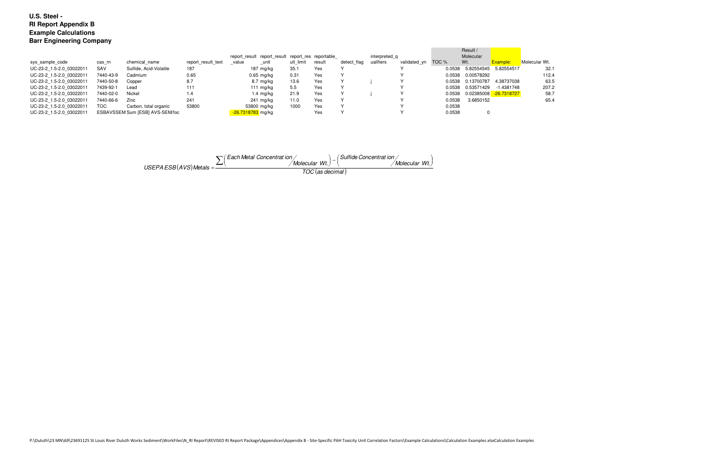| sys_sample_code          | cas rn    | chemical name                   | report result text | value             | report result report result report res reportable<br>_unit | ult limit | result | detect flag | interpreted q<br>ualifiers | validated_yn | TOC %  | Result /<br>Molecular<br>Wt. | Example:      | Molecular Wt. |
|--------------------------|-----------|---------------------------------|--------------------|-------------------|------------------------------------------------------------|-----------|--------|-------------|----------------------------|--------------|--------|------------------------------|---------------|---------------|
| UC-23-2 1.5-2.0 03022011 | SAV       | Sulfide, Acid-Volatile          | 187                |                   | 187 mg/kg                                                  | 35.1      | Yes    |             |                            |              | 0.0538 | 5.82554545                   | 5.82554517    | 32.1          |
| UC-23-2 1.5-2.0 03022011 | 7440-43-9 | Cadmium                         | 0.65               |                   | $0.65$ mg/kg                                               | 0.31      | Yes    |             |                            |              | 0.0538 | 0.00578292                   |               | 112.4         |
| UC-23-2 1.5-2.0 03022011 | 7440-50-8 | Copper                          | 8.7                |                   | 8.7 mg/kg                                                  | 13.6      | Yes    |             |                            |              | 0.0538 | 0.13700787                   | 4.38737038    | 63.5          |
| UC-23-2 1.5-2.0 03022011 | 7439-92-1 | Lead                            | 111                |                   | 111 mg/kg                                                  | 5.5       | Yes    |             |                            |              | 0.0538 | 0.53571429                   | -1.4381748    | 207.2         |
| UC-23-2 1.5-2.0 03022011 | 7440-02-0 | Nickel                          | 1.4                |                   | $1.4 \text{ mg/kg}$                                        | 21.9      | Yes    |             |                            |              | 0.0538 | 0.02385008                   | $-26.7318727$ | 58.7          |
| UC-23-2 1.5-2.0 03022011 | 7440-66-6 | Zinc                            | 241                |                   | 241 mg/kg                                                  | 11.0      | Yes    |             |                            |              | 0.0538 | 3.6850152                    |               | 65.4          |
| UC-23-2 1.5-2.0 03022011 | TOC       | Carbon, total organic           | 53800              |                   | 53800 mg/kg                                                | 1000      | Yes    |             |                            |              | 0.0538 |                              |               |               |
| UC-23-2 1.5-2.0 03022011 |           | ESBAVSSEM Sum [ESB] AVS-SEM/foc |                    | -26.7318783 mg/kg |                                                            |           | Yes    |             |                            |              | 0.0538 |                              |               |               |

$$
USEPAESB(AVS) Metals = \frac{\sum (Each Metal Concentrati ion / Molecular Wt.)- (Sulfide Concentrati ion / Molecular Wt.)}{TOC (as decimal)}
$$